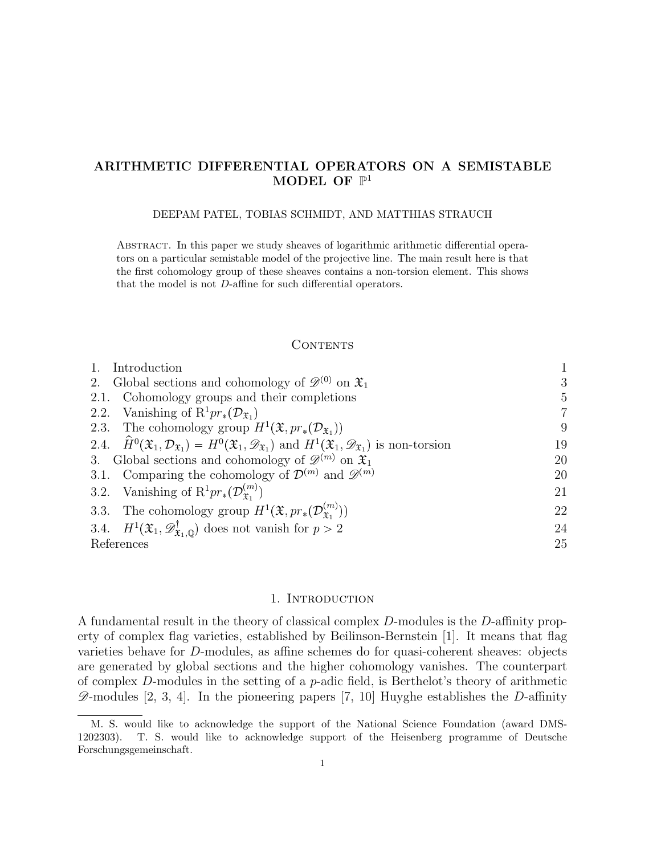# ARITHMETIC DIFFERENTIAL OPERATORS ON A SEMISTABLE MODEL OF  $\mathbb{P}^1$

## DEEPAM PATEL, TOBIAS SCHMIDT, AND MATTHIAS STRAUCH

Abstract. In this paper we study sheaves of logarithmic arithmetic differential operators on a particular semistable model of the projective line. The main result here is that the first cohomology group of these sheaves contains a non-torsion element. This shows that the model is not D-affine for such differential operators.

### **CONTENTS**

| Introduction                                                                                                                                                                         |                |
|--------------------------------------------------------------------------------------------------------------------------------------------------------------------------------------|----------------|
| 2. Global sections and cohomology of $\mathscr{D}^{(0)}$ on $\mathfrak{X}_1$                                                                                                         | 3              |
| 2.1. Cohomology groups and their completions                                                                                                                                         | 5              |
| 2.2. Vanishing of $R^1pr_*(\mathcal{D}_{\mathfrak{X}_1})$                                                                                                                            | $\overline{7}$ |
| 2.3. The cohomology group $H^1(\mathfrak{X}, pr_*(\mathcal{D}_{\mathfrak{X}_1}))$                                                                                                    | 9              |
| 2.4. $\hat{H}^0(\mathfrak{X}_1,\mathcal{D}_{\mathfrak{X}_1})=H^0(\mathfrak{X}_1,\mathscr{D}_{\mathfrak{X}_1})$ and $H^1(\mathfrak{X}_1,\mathscr{D}_{\mathfrak{X}_1})$ is non-torsion | 19             |
| 3. Global sections and cohomology of $\mathscr{D}^{(m)}$ on $\mathfrak{X}_1$                                                                                                         | 20             |
| 3.1. Comparing the cohomology of $\mathcal{D}^{(m)}$ and $\mathscr{D}^{(m)}$                                                                                                         | 20             |
| 3.2. Vanishing of $\mathrm{R}^1pr_*(\mathcal{D}_{\mathfrak{X}_1}^{(m)})$                                                                                                             | 21             |
| 3.3. The cohomology group $H^1(\mathfrak{X}, pr_*(\mathcal{D}_{\mathfrak{X}_1}^{(m)}))$                                                                                              | 22             |
| 3.4. $H^1(\mathfrak{X}_1, \mathscr{D}^\dagger_{\mathfrak{X}_1, \mathbb{Q}})$ does not vanish for $p > 2$                                                                             | 24             |
| References                                                                                                                                                                           | 25             |

# 1. INTRODUCTION

A fundamental result in the theory of classical complex D-modules is the D-affinity property of complex flag varieties, established by Beilinson-Bernstein [1]. It means that flag varieties behave for D-modules, as affine schemes do for quasi-coherent sheaves: objects are generated by global sections and the higher cohomology vanishes. The counterpart of complex  $D$ -modules in the setting of a  $p$ -adic field, is Berthelot's theory of arithmetic  $\mathscr{D}$ -modules [2, 3, 4]. In the pioneering papers [7, 10] Huyghe establishes the D-affinity

M. S. would like to acknowledge the support of the National Science Foundation (award DMS-1202303). T. S. would like to acknowledge support of the Heisenberg programme of Deutsche Forschungsgemeinschaft.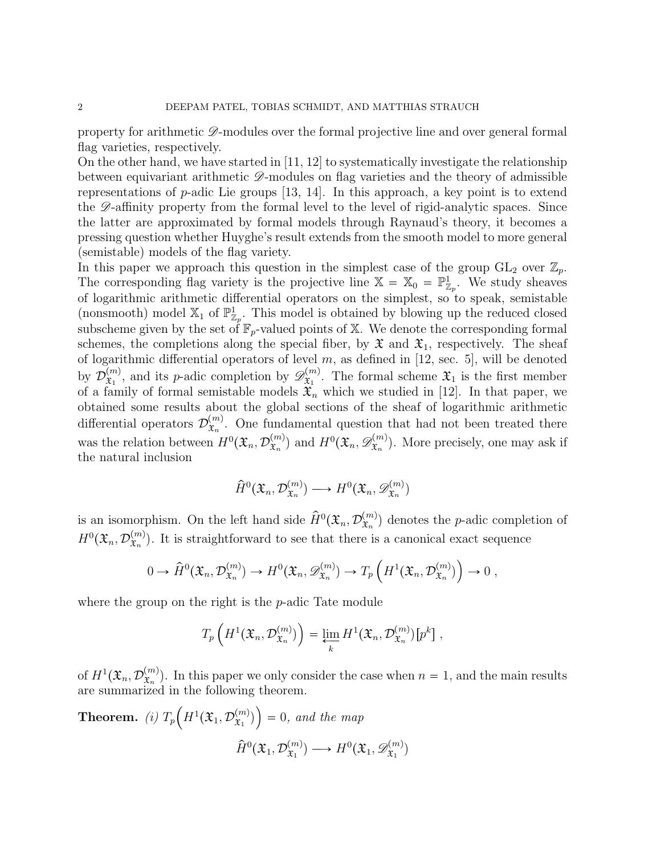property for arithmetic  $\mathscr{D}$ -modules over the formal projective line and over general formal flag varieties, respectively.

On the other hand, we have started in [11, 12] to systematically investigate the relationship between equivariant arithmetic  $\mathscr{D}$ -modules on flag varieties and the theory of admissible representations of  $p$ -adic Lie groups [13, 14]. In this approach, a key point is to extend the  $\mathscr{D}$ -affinity property from the formal level to the level of rigid-analytic spaces. Since the latter are approximated by formal models through Raynaud's theory, it becomes a pressing question whether Huyghe's result extends from the smooth model to more general (semistable) models of the flag variety.

In this paper we approach this question in the simplest case of the group  $GL_2$  over  $\mathbb{Z}_p$ . The corresponding flag variety is the projective line  $\mathbb{X} = \mathbb{X}_0 = \mathbb{P}^1_{\mathbb{Z}_p}$ . We study sheaves of logarithmic arithmetic differential operators on the simplest, so to speak, semistable (nonsmooth) model  $\mathbb{X}_1$  of  $\mathbb{P}^1_{\mathbb{Z}_p}$ . This model is obtained by blowing up the reduced closed subscheme given by the set of  $\mathbb{F}_p$ -valued points of X. We denote the corresponding formal schemes, the completions along the special fiber, by  $\mathfrak{X}$  and  $\mathfrak{X}_1$ , respectively. The sheaf of logarithmic differential operators of level  $m$ , as defined in [12, sec. 5], will be denoted by  $\mathcal{D}_{\mathfrak{T}_1}^{(m)}$  $\begin{bmatrix} (m) \\ \tilde{x}_1 \end{bmatrix}$ , and its *p*-adic completion by  $\mathscr{D}^{(m)}_{\tilde{x}_1}$  $\mathfrak{X}_1^{(m)}$ . The formal scheme  $\mathfrak{X}_1$  is the first member of a family of formal semistable models  $\mathfrak{X}_n$  which we studied in [12]. In that paper, we obtained some results about the global sections of the sheaf of logarithmic arithmetic differential operators  $\mathcal{D}_{\mathfrak{X}_n}^{(m)}$  $\mathfrak{X}_n^{(m)}$ . One fundamental question that had not been treated there was the relation between  $H^0(\mathfrak{X}_n, \mathcal{D}_{\mathfrak{X}_n}^{(m)})$  $\mathfrak{X}_n^{(m)}$ ) and  $H^0(\mathfrak{X}_n, \mathscr{D}_{\mathfrak{X}_n}^{(m)})$  $(\mathfrak{X}_n^{(m)})$ . More precisely, one may ask if the natural inclusion

$$
\widehat{H}^0(\mathfrak{X}_n, \mathcal{D}_{\mathfrak{X}_n}^{(m)}) \longrightarrow H^0(\mathfrak{X}_n, \mathscr{D}_{\mathfrak{X}_n}^{(m)})
$$

is an isomorphism. On the left hand side  $\hat{H}^0(\mathfrak{X}_n, \mathcal{D}_{\mathfrak{X}_n}^{(m)})$  $\binom{m}{x_n}$  denotes the *p*-adic completion of  $H^0(\mathfrak{X}_n,\mathcal{D}_{\mathfrak{X}_n}^{(m)})$  $\mathbf{x}_n^{(m)}$ ). It is straightforward to see that there is a canonical exact sequence

$$
0 \to \hat{H}^0(\mathfrak{X}_n, \mathcal{D}_{\mathfrak{X}_n}^{(m)}) \to H^0(\mathfrak{X}_n, \mathscr{D}_{\mathfrak{X}_n}^{(m)}) \to T_p\left(H^1(\mathfrak{X}_n, \mathcal{D}_{\mathfrak{X}_n}^{(m)})\right) \to 0,
$$

where the group on the right is the *p*-adic Tate module

$$
T_p\left(H^1(\mathfrak{X}_n,\mathcal{D}_{\mathfrak{X}_n}^{(m)})\right)=\varprojlim_k H^1(\mathfrak{X}_n,\mathcal{D}_{\mathfrak{X}_n}^{(m)})[p^k],
$$

of  $H^1(\mathfrak{X}_n, \mathcal{D}_{\mathfrak{X}_n}^{(m)})$  $(\mathbf{x}_n^{(m)})$ . In this paper we only consider the case when  $n = 1$ , and the main results are summarized in the following theorem.

Theorem. *(i)*  $T_p\left(H^1(\mathfrak{X}_1,\mathcal{D}_{\mathfrak{X}_1}^{(m)})\right)$  $\mathfrak{X}_1$ <sup>'</sup>)  $=0$ , and the map  $\widehat{H}^0(\mathfrak{X}_1,\mathcal{D}_{\mathfrak{X}_1}^{(m)}$  $f_{\mathfrak{X}_1}^{(m)}$   $\longrightarrow$   $H^0(\mathfrak{X}_1, \mathscr{D}_{\mathfrak{X}_1}^{(m)})$  $\hat{\mathfrak{X}}_1$ <sup>'</sup>)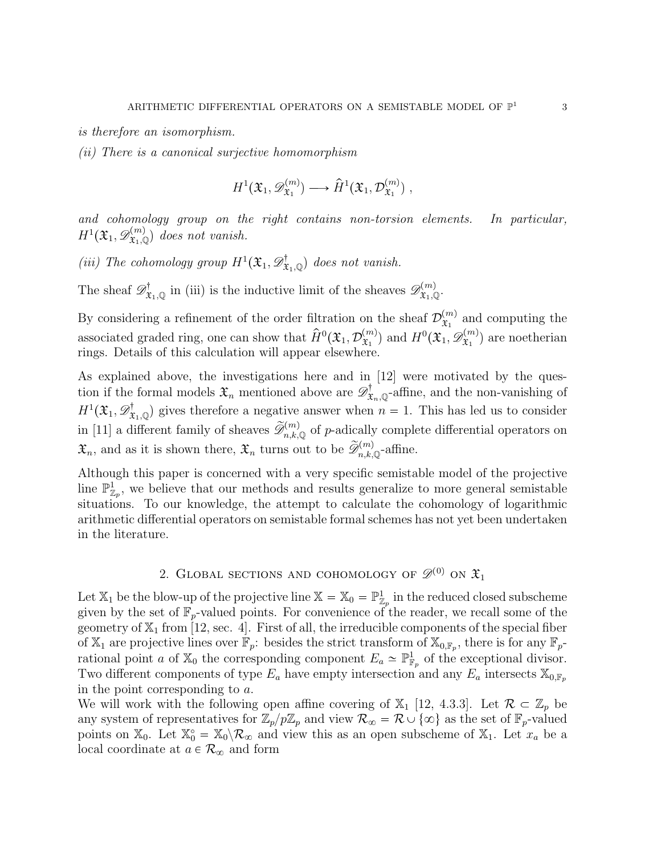is therefore an isomorphism.

(ii) There is a canonical surjective homomorphism

$$
H^1(\mathfrak{X}_1, \mathscr{D}_{\mathfrak{X}_1}^{(m)}) \longrightarrow \hat{H}^1(\mathfrak{X}_1, \mathcal{D}_{\mathfrak{X}_1}^{(m)}) ,
$$

and cohomology group on the right contains non-torsion elements. In particular,  $H^1({\mathfrak X}_1, {\mathscr D}^{(m)}_{{\mathfrak X}_1, {\mathbb Q}})$  does not vanish.

(iii) The cohomology group  $H^1(\mathfrak{X}_1, \mathscr{D}^{\dagger}_{\mathfrak{X}_1, \mathbb{Q}})$  does not vanish.

The sheaf  $\mathscr{D}^{\dagger}_{\mathfrak{X}_1,\mathbb{Q}}$  in (iii) is the inductive limit of the sheaves  $\mathscr{D}^{(m)}_{\mathfrak{X}_1,\mathbb{Q}}$ .

By considering a refinement of the order filtration on the sheaf  $\mathcal{D}_{\mathfrak{X}_{1}}^{(m)}$  $\mathfrak{X}_1^{(m)}$  and computing the associated graded ring, one can show that  $\hat{H}^0(\mathfrak{X}_1, \mathcal{D}_{\mathfrak{X}_1}^{(m)})$  $\mathfrak{X}_1^{(m)}$ ) and  $H^0(\mathfrak{X}_1, \mathscr{D}_{\mathfrak{X}_1}^{(m)})$  $(\mathfrak{X}_1^{(m)})$  are noetherian rings. Details of this calculation will appear elsewhere.

As explained above, the investigations here and in [12] were motivated by the question if the formal models  $\mathfrak{X}_n$  mentioned above are  $\mathscr{D}^{\dagger}_{\mathfrak{X}_n,\mathbb{Q}}$ -affine, and the non-vanishing of  $H^1(\mathfrak{X}_1, \mathcal{D}_{\mathfrak{X}_1,\mathbb{Q}}^{\dagger})$  gives therefore a negative answer when  $n = 1$ . This has led us to consider in [11] a different family of sheaves  $\widetilde{\mathcal{D}}_{n,k,\mathbb{Q}}^{(m)}$  of p-adically complete differential operators on  $\mathfrak{X}_n$ , and as it is shown there,  $\mathfrak{X}_n$  turns out to be  $\widetilde{\mathcal{D}}_{n,k,\mathbb{Q}}^{(m)}$ -affine.

Although this paper is concerned with a very specific semistable model of the projective line  $\mathbb{P}^1_{\mathbb{Z}_p}$ , we believe that our methods and results generalize to more general semistable situations. To our knowledge, the attempt to calculate the cohomology of logarithmic arithmetic differential operators on semistable formal schemes has not yet been undertaken in the literature.

# 2. GLOBAL SECTIONS AND COHOMOLOGY OF  $\mathscr{D}^{(0)}$  ON  $\mathfrak{X}_1$

Let  $\mathbb{X}_1$  be the blow-up of the projective line  $\mathbb{X} = \mathbb{X}_0 = \mathbb{P}^1_{\mathbb{Z}_p}$  in the reduced closed subscheme given by the set of  $\mathbb{F}_p$ -valued points. For convenience of the reader, we recall some of the geometry of  $\mathbb{X}_1$  from [12, sec. 4]. First of all, the irreducible components of the special fiber of  $\mathbb{X}_1$  are projective lines over  $\mathbb{F}_p$ : besides the strict transform of  $\mathbb{X}_{0,\mathbb{F}_p}$ , there is for any  $\mathbb{F}_p$ rational point a of  $\mathbb{X}_0$  the corresponding component  $E_a \simeq \mathbb{P}^1_{\mathbb{F}_p}$  of the exceptional divisor. Two different components of type  $E_a$  have empty intersection and any  $E_a$  intersects  $\mathbb{X}_{0,\mathbb{F}_p}$ in the point corresponding to a.

We will work with the following open affine covering of  $\mathbb{X}_1$  [12, 4.3.3]. Let  $\mathcal{R} \subset \mathbb{Z}_p$  be any system of representatives for  $\mathbb{Z}_p/p\mathbb{Z}_p$  and view  $\mathcal{R}_{\infty} = \mathcal{R} \cup \{\infty\}$  as the set of  $\mathbb{F}_p$ -valued points on  $\mathbb{X}_0$ . Let  $\mathbb{X}_0^\circ = \mathbb{X}_0 \setminus \mathcal{R}_\infty$  and view this as an open subscheme of  $\mathbb{X}_1$ . Let  $x_a$  be a local coordinate at  $a \in \mathcal{R}_{\infty}$  and form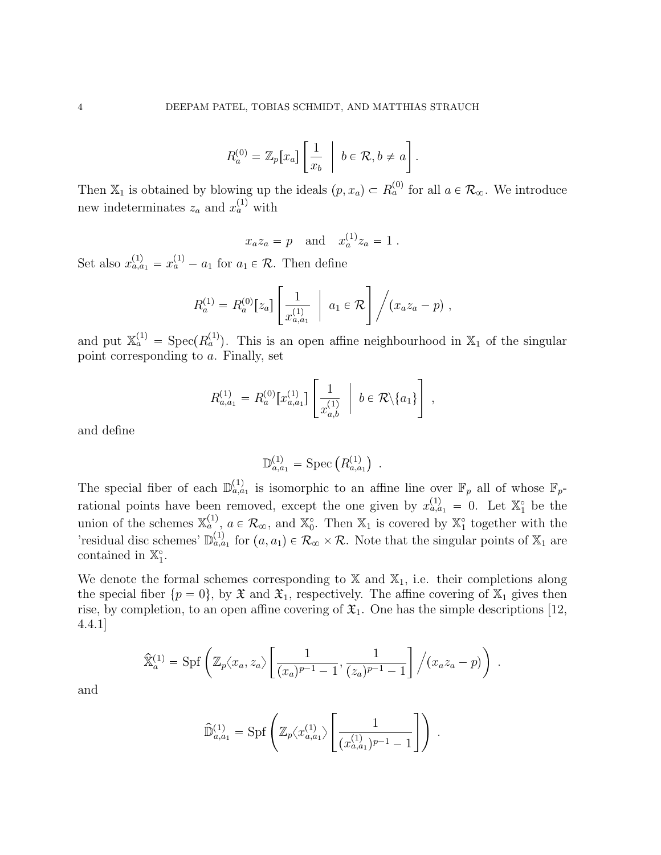$$
R_a^{(0)} = \mathbb{Z}_p[x_a] \left[ \frac{1}{x_b} \middle| b \in \mathcal{R}, b \neq a \right].
$$

Then  $\mathbb{X}_1$  is obtained by blowing up the ideals  $(p, x_a) \subset R_a^{(0)}$  for all  $a \in \mathcal{R}_{\infty}$ . We introduce new indeterminates  $z_a$  and  $x_a^{(1)}$  with

$$
x_a z_a = p
$$
 and  $x_a^{(1)} z_a = 1$ .

Set also  $x_{a,a_1}^{(1)} = x_a^{(1)} - a_1$  for  $a_1 \in \mathcal{R}$ . Then define

$$
R_a^{(1)} = R_a^{(0)}[z_a] \left[ \frac{1}{x_{a,a_1}^{(1)}} \ \bigg| \ a_1 \in \mathcal{R} \right] / (x_a z_a - p) ,
$$

and put  $\mathbb{X}_a^{(1)} = \text{Spec}(R_a^{(1)})$ . This is an open affine neighbourhood in  $\mathbb{X}_1$  of the singular point corresponding to a. Finally, set

$$
R^{(1)}_{a,a_1} = R^{(0)}_a \big[x_{a,a_1}^{(1)}\big] \Bigg[ \frac{1}{x_{a,b}^{(1)}} \ \Bigg| \ b \in \mathcal{R} \backslash \{a_1\} \Bigg] \ ,
$$

and define

$$
\mathbb{D}_{a,a_1}^{(1)} = \text{Spec} \left( R_{a,a_1}^{(1)} \right) \ .
$$

The special fiber of each  $\mathbb{D}_{a,a_1}^{(1)}$  is isomorphic to an affine line over  $\mathbb{F}_p$  all of whose  $\mathbb{F}_p$ rational points have been removed, except the one given by  $x_{a,a_1}^{(1)} = 0$ . Let  $\mathbb{X}_1^{\circ}$  be the union of the schemes  $\mathbb{X}_a^{(1)}$ ,  $a \in \mathcal{R}_{\infty}$ , and  $\mathbb{X}_0^{\circ}$ . Then  $\mathbb{X}_1$  is covered by  $\mathbb{X}_1^{\circ}$  together with the 'residual disc schemes'  $\mathbb{D}_{a,a_1}^{(1)}$  for  $(a,a_1) \in \mathcal{R}_{\infty} \times \mathcal{R}$ . Note that the singular points of  $\mathbb{X}_1$  are contained in  $\mathbb{X}_1^{\circ}$ .

We denote the formal schemes corresponding to  $X$  and  $X_1$ , i.e. their completions along the special fiber  $\{p = 0\}$ , by  $\mathfrak{X}$  and  $\mathfrak{X}_1$ , respectively. The affine covering of  $\mathbb{X}_1$  gives then rise, by completion, to an open affine covering of  $\mathfrak{X}_1$ . One has the simple descriptions [12, 4.4.1]

$$
\widehat{\mathbb{X}}_a^{(1)} = \mathrm{Spf}\left(\mathbb{Z}_p\langle x_a, z_a\rangle \left[\frac{1}{(x_a)^{p-1}-1}, \frac{1}{(z_a)^{p-1}-1}\right] \Big/ (x_a z_a - p)\right) .
$$

and

$$
\widehat{\mathbb{D}}_{a,a_1}^{(1)} = \text{Spf}\left(\mathbb{Z}_p \langle x_{a,a_1}^{(1)} \rangle \left[\frac{1}{(x_{a,a_1}^{(1)})^{p-1} - 1}\right]\right) .
$$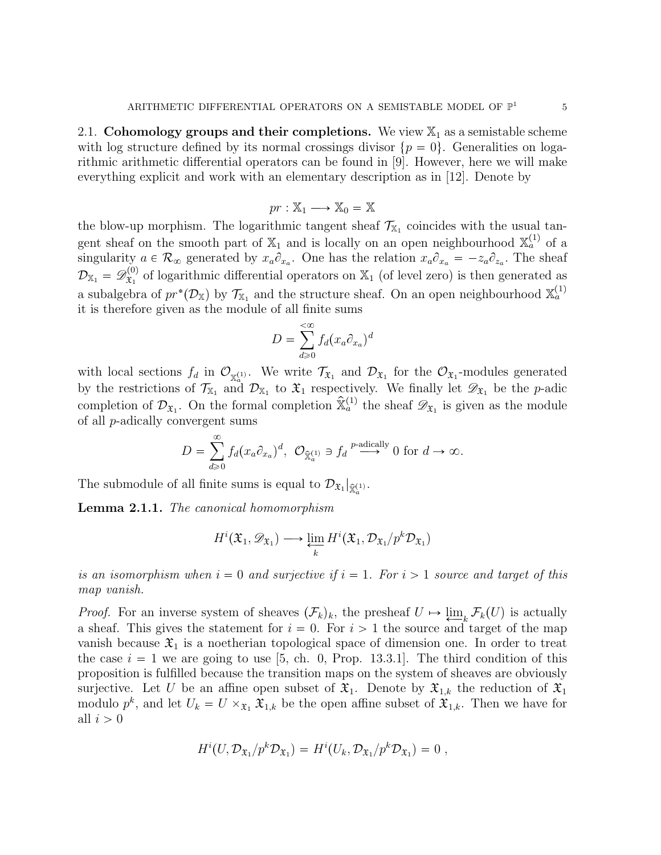2.1. Cohomology groups and their completions. We view  $\mathbb{X}_1$  as a semistable scheme with log structure defined by its normal crossings divisor  $\{p = 0\}$ . Generalities on logarithmic arithmetic differential operators can be found in [9]. However, here we will make everything explicit and work with an elementary description as in [12]. Denote by

$$
pr: \mathbb{X}_1 \longrightarrow \mathbb{X}_0 = \mathbb{X}
$$

the blow-up morphism. The logarithmic tangent sheaf  $\mathcal{T}_{X_1}$  coincides with the usual tangent sheaf on the smooth part of  $\mathbb{X}_1$  and is locally on an open neighbourhood  $\mathbb{X}_a^{(1)}$  of a singularity  $a \in \mathcal{R}_{\infty}$  generated by  $x_a \partial_{x_a}$ . One has the relation  $x_a \partial_{x_a} = -z_a \partial_{z_a}$ . The sheaf  $\mathcal{D}_{\mathbb{X}_1}=\mathscr{D}^{(0)}_{\mathfrak{X}_1}$  $\mathbf{x}_1^{(0)}$  of logarithmic differential operators on  $\mathbb{X}_1$  (of level zero) is then generated as a subalgebra of  $pr^*(\mathcal{D}_X)$  by  $\mathcal{T}_{X_1}$  and the structure sheaf. On an open neighbourhood  $\mathbb{X}_a^{(1)}$ it is therefore given as the module of all finite sums

$$
D = \sum_{d \ge 0}^{< \infty} f_d(x_a \partial_{x_a})^d
$$

with local sections  $f_d$  in  $\mathcal{O}_{\mathbb{X}_a^{(1)}}$ . We write  $\mathcal{T}_{\mathfrak{X}_1}$  and  $\mathcal{D}_{\mathfrak{X}_1}$  for the  $\mathcal{O}_{\mathfrak{X}_1}$ -modules generated by the restrictions of  $\mathcal{T}_{X_1}$  and  $\mathcal{D}_{X_1}$  to  $\mathfrak{X}_1$  respectively. We finally let  $\mathscr{D}_{\mathfrak{X}_1}$  be the p-adic completion of  $\mathcal{D}_{\mathfrak{X}_1}$ . On the formal completion  $\hat{\mathbb{X}}_a^{(1)}$  the sheaf  $\mathcal{D}_{\mathfrak{X}_1}$  is given as the module of all p-adically convergent sums

$$
D = \sum_{d \geq 0}^{\infty} f_d(x_a \partial_{x_a})^d, \ \mathcal{O}_{\widehat{\mathbb{X}}_a^{(1)}} \ni f_d \stackrel{p\text{-adically}}{\longrightarrow} 0 \text{ for } d \to \infty.
$$

The submodule of all finite sums is equal to  $\mathcal{D}_{\mathfrak{X}_1}|_{\hat{\mathbb{X}}_{\alpha}^{(1)}}$ .

Lemma 2.1.1. The canonical homomorphism

$$
H^{i}(\mathfrak{X}_{1},\mathscr{D}_{\mathfrak{X}_{1}})\longrightarrow \varprojlim_{k} H^{i}(\mathfrak{X}_{1},\mathcal{D}_{\mathfrak{X}_{1}}/p^{k}\mathcal{D}_{\mathfrak{X}_{1}})
$$

is an isomorphism when  $i = 0$  and surjective if  $i = 1$ . For  $i > 1$  source and target of this map vanish.

*Proof.* For an inverse system of sheaves  $(\mathcal{F}_k)_k$ , the presheaf  $U \mapsto \varprojlim_k \mathcal{F}_k(U)$  is actually a sheaf. This gives the statement for  $i = 0$ . For  $i > 1$  the source and target of the man a sheaf. This gives the statement for  $i = 0$ . For  $i > 1$  the source and target of the map vanish because  $\mathfrak{X}_1$  is a noetherian topological space of dimension one. In order to treat the case  $i = 1$  we are going to use [5, ch. 0, Prop. 13.3.1]. The third condition of this proposition is fulfilled because the transition maps on the system of sheaves are obviously surjective. Let U be an affine open subset of  $\mathfrak{X}_1$ . Denote by  $\mathfrak{X}_{1,k}$  the reduction of  $\mathfrak{X}_1$ modulo  $p^k$ , and let  $U_k = U \times_{\mathfrak{X}_1} \mathfrak{X}_{1,k}$  be the open affine subset of  $\mathfrak{X}_{1,k}$ . Then we have for all  $i > 0$ 

$$
H^i(U, \mathcal{D}_{\mathfrak{X}_1}/p^k \mathcal{D}_{\mathfrak{X}_1}) = H^i(U_k, \mathcal{D}_{\mathfrak{X}_1}/p^k \mathcal{D}_{\mathfrak{X}_1}) = 0,
$$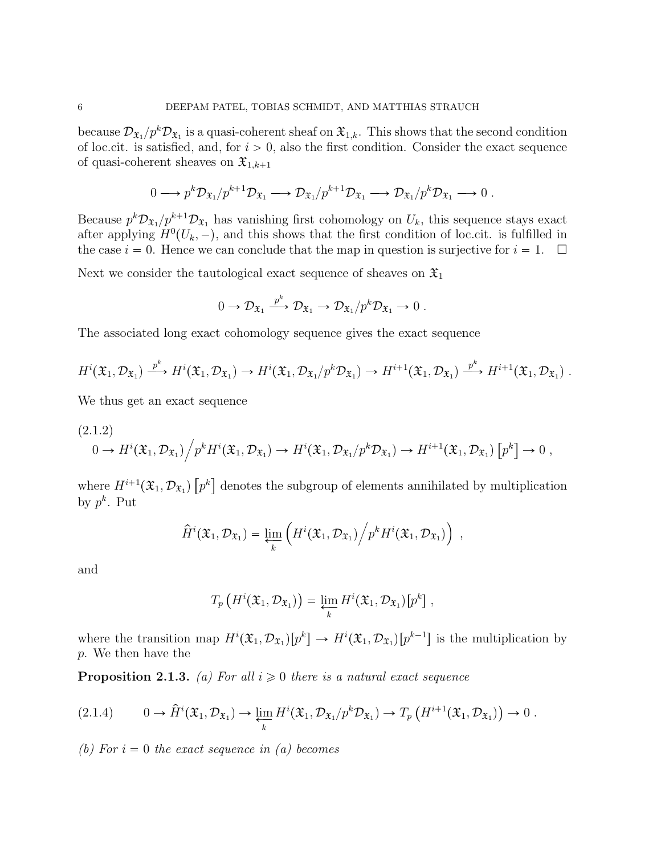because  $\mathcal{D}_{\mathfrak{X}_1}/p^k \mathcal{D}_{\mathfrak{X}_1}$  is a quasi-coherent sheaf on  $\mathfrak{X}_{1,k}$ . This shows that the second condition of loc.cit. is satisfied, and, for  $i > 0$ , also the first condition. Consider the exact sequence of quasi-coherent sheaves on  $\mathfrak{X}_{1,k+1}$ 

$$
0 \longrightarrow p^k \mathcal{D}_{\mathfrak{X}_1}/p^{k+1} \mathcal{D}_{\mathfrak{X}_1} \longrightarrow \mathcal{D}_{\mathfrak{X}_1}/p^{k+1} \mathcal{D}_{\mathfrak{X}_1} \longrightarrow \mathcal{D}_{\mathfrak{X}_1}/p^k \mathcal{D}_{\mathfrak{X}_1} \longrightarrow 0.
$$

Because  $p^k \mathcal{D}_{\mathfrak{X}_1}/p^{k+1} \mathcal{D}_{\mathfrak{X}_1}$  has vanishing first cohomology on  $U_k$ , this sequence stays exact after applying  $H^0(U_k, -)$ , and this shows that the first condition of loc.cit. is fulfilled in the case  $i = 0$ . Hence we can conclude that the map in question is surjective for  $i = 1$ .  $\Box$ 

Next we consider the tautological exact sequence of sheaves on  $\mathfrak{X}_1$ 

$$
0 \to \mathcal{D}_{\mathfrak{X}_1} \xrightarrow{p^k} \mathcal{D}_{\mathfrak{X}_1} \to \mathcal{D}_{\mathfrak{X}_1}/p^k \mathcal{D}_{\mathfrak{X}_1} \to 0.
$$

The associated long exact cohomology sequence gives the exact sequence

$$
H^i(\mathfrak{X}_1,\mathcal{D}_{\mathfrak{X}_1})\xrightarrow{p^k} H^i(\mathfrak{X}_1,\mathcal{D}_{\mathfrak{X}_1})\to H^i(\mathfrak{X}_1,\mathcal{D}_{\mathfrak{X}_1}/p^k\mathcal{D}_{\mathfrak{X}_1})\to H^{i+1}(\mathfrak{X}_1,\mathcal{D}_{\mathfrak{X}_1})\xrightarrow{p^k} H^{i+1}(\mathfrak{X}_1,\mathcal{D}_{\mathfrak{X}_1})\ .
$$

We thus get an exact sequence

$$
(2.1.2)
$$
  
\n
$$
0 \to H^{i}(\mathfrak{X}_{1}, \mathcal{D}_{\mathfrak{X}_{1}}) / p^{k} H^{i}(\mathfrak{X}_{1}, \mathcal{D}_{\mathfrak{X}_{1}}) \to H^{i}(\mathfrak{X}_{1}, \mathcal{D}_{\mathfrak{X}_{1}}/p^{k} \mathcal{D}_{\mathfrak{X}_{1}}) \to H^{i+1}(\mathfrak{X}_{1}, \mathcal{D}_{\mathfrak{X}_{1}}) [p^{k}] \to 0,
$$

where  $H^{i+1}(\mathfrak{X}_1, \mathcal{D}_{\mathfrak{X}_1})\left[p^k\right]$  denotes the subgroup of elements annihilated by multiplication by  $p^k$ . Put

$$
\widehat{H}^i(\mathfrak{X}_1,\mathcal{D}_{\mathfrak{X}_1})=\varprojlim_k \left(H^i(\mathfrak{X}_1,\mathcal{D}_{\mathfrak{X}_1})/p^k H^i(\mathfrak{X}_1,\mathcal{D}_{\mathfrak{X}_1})\right),
$$

and

$$
T_p\left(H^i(\mathfrak{X}_1,\mathcal{D}_{\mathfrak{X}_1})\right)=\varprojlim_k H^i(\mathfrak{X}_1,\mathcal{D}_{\mathfrak{X}_1})[p^k],
$$

where the transition map  $H^i(\mathfrak{X}_1, \mathcal{D}_{\mathfrak{X}_1})[p^k] \to H^i(\mathfrak{X}_1, \mathcal{D}_{\mathfrak{X}_1})[p^{k-1}]$  is the multiplication by p. We then have the

**Proposition 2.1.3.** (a) For all  $i \geq 0$  there is a natural exact sequence

$$
(2.1.4) \t 0 \to \hat{H}^{i}(\mathfrak{X}_{1}, \mathcal{D}_{\mathfrak{X}_{1}}) \to \varprojlim_{k} H^{i}(\mathfrak{X}_{1}, \mathcal{D}_{\mathfrak{X}_{1}}/p^{k} \mathcal{D}_{\mathfrak{X}_{1}}) \to T_{p}(H^{i+1}(\mathfrak{X}_{1}, \mathcal{D}_{\mathfrak{X}_{1}})) \to 0.
$$

(b) For  $i = 0$  the exact sequence in (a) becomes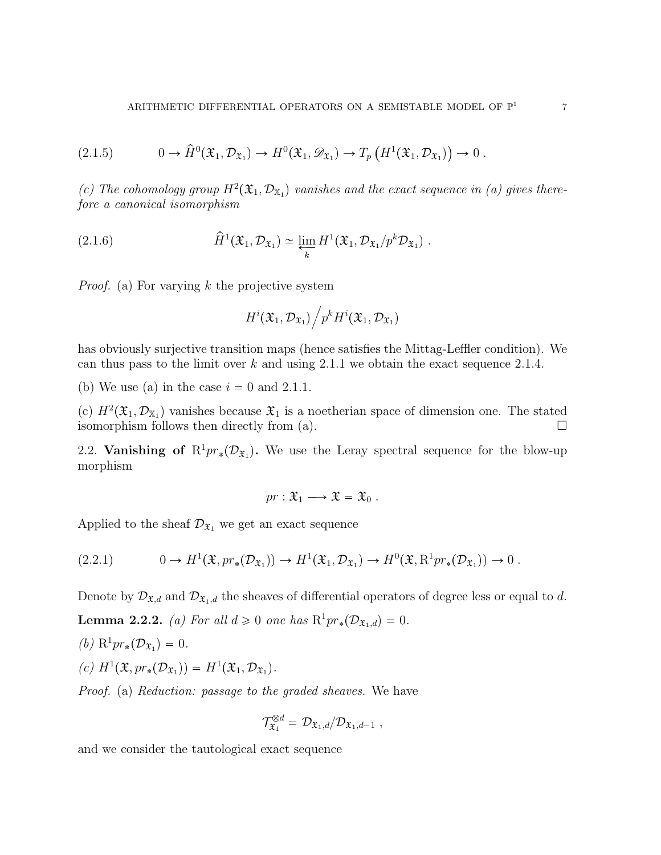$$
(2.1.5) \t 0 \to \widehat{H}^0(\mathfrak{X}_1, \mathcal{D}_{\mathfrak{X}_1}) \to H^0(\mathfrak{X}_1, \mathcal{D}_{\mathfrak{X}_1}) \to T_p\left(H^1(\mathfrak{X}_1, \mathcal{D}_{\mathfrak{X}_1})\right) \to 0.
$$

(c) The cohomology group  $H^2(\mathfrak{X}_1, \mathcal{D}_{X_1})$  vanishes and the exact sequence in (a) gives therefore a canonical isomorphism

(2.1.6) 
$$
\widehat{H}^1(\mathfrak{X}_1, \mathcal{D}_{\mathfrak{X}_1}) \simeq \varprojlim_k H^1(\mathfrak{X}_1, \mathcal{D}_{\mathfrak{X}_1}/p^k \mathcal{D}_{\mathfrak{X}_1}).
$$

*Proof.* (a) For varying  $k$  the projective system

$$
H^i({\mathfrak X}_1,{\mathcal D}_{{\mathfrak X}_1})\Big/p^k H^i({\mathfrak X}_1,{\mathcal D}_{{\mathfrak X}_1})
$$

has obviously surjective transition maps (hence satisfies the Mittag-Leffler condition). We can thus pass to the limit over  $k$  and using 2.1.1 we obtain the exact sequence 2.1.4.

(b) We use (a) in the case  $i = 0$  and 2.1.1.

(c)  $H^2(\mathfrak{X}_1, \mathcal{D}_{\mathbb{X}_1})$  vanishes because  $\mathfrak{X}_1$  is a noetherian space of dimension one. The stated isomorphism follows then directly from (a).  $\Box$ 

2.2. Vanishing of  $\mathbb{R}^1pr_*(\mathcal{D}_{\mathfrak{X}_1})$ . We use the Leray spectral sequence for the blow-up morphism

$$
pr: \mathfrak{X}_1 \longrightarrow \mathfrak{X} = \mathfrak{X}_0 .
$$

Applied to the sheaf  $\mathcal{D}_{\mathfrak{X}_1}$  we get an exact sequence

$$
(2.2.1) \t 0 \to H^1(\mathfrak{X}, pr_*(\mathcal{D}_{\mathfrak{X}_1})) \to H^1(\mathfrak{X}_1, \mathcal{D}_{\mathfrak{X}_1}) \to H^0(\mathfrak{X}, \mathrm{R}^1 pr_*(\mathcal{D}_{\mathfrak{X}_1})) \to 0.
$$

Denote by  $\mathcal{D}_{\mathfrak{X},d}$  and  $\mathcal{D}_{\mathfrak{X},d}$  the sheaves of differential operators of degree less or equal to d.

**Lemma 2.2.2.** (a) For all  $d \ge 0$  one has  $R^1pr_*(\mathcal{D}_{\mathfrak{X}_1,d}) = 0$ .

- (b)  $R^1pr_*(\mathcal{D}_{\mathfrak{X}_1}) = 0.$
- (c)  $H^1(\mathfrak{X}, pr_*(\mathcal{D}_{\mathfrak{X}_1})) = H^1(\mathfrak{X}_1, \mathcal{D}_{\mathfrak{X}_1}).$

Proof. (a) Reduction: passage to the graded sheaves. We have

$$
\mathcal{T}_{\mathfrak{X}_1}^{\otimes d} = \mathcal{D}_{\mathfrak{X}_1,d}/\mathcal{D}_{\mathfrak{X}_1,d-1} ,
$$

and we consider the tautological exact sequence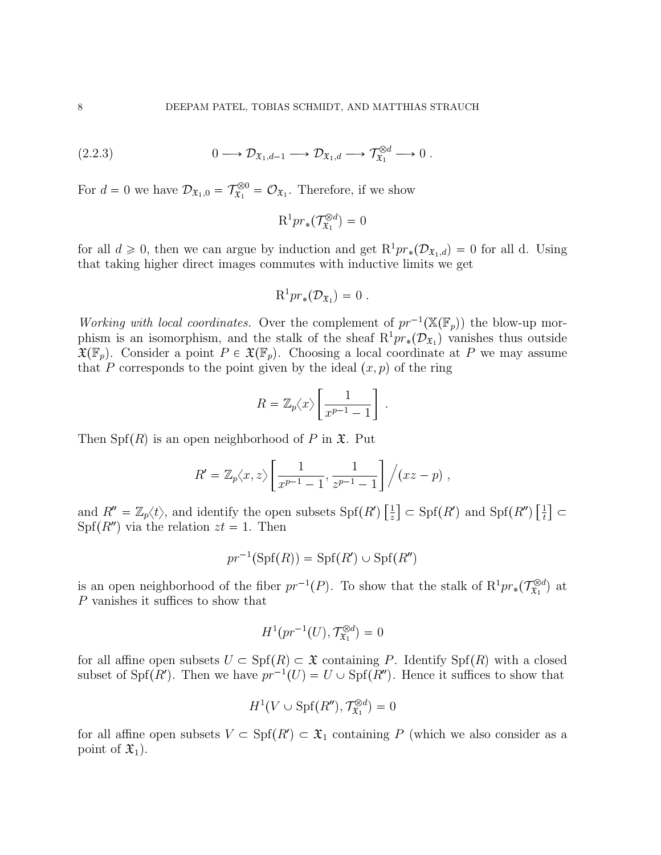$$
(2.2.3) \t 0 \longrightarrow \mathcal{D}_{\mathfrak{X}_1,d-1} \longrightarrow \mathcal{D}_{\mathfrak{X}_1,d} \longrightarrow \mathcal{T}_{\mathfrak{X}_1}^{\otimes d} \longrightarrow 0.
$$

For  $d = 0$  we have  $\mathcal{D}_{\mathfrak{X}_1,0} = \mathcal{T}_{\mathfrak{X}_1}^{\otimes 0} = \mathcal{O}_{\mathfrak{X}_1}$ . Therefore, if we show

$$
\mathrm{R}^1 pr_*(\mathcal{T}_{\mathfrak{X}_1}^{\otimes d})=0
$$

for all  $d \geq 0$ , then we can argue by induction and get  $R^1pr_*(\mathcal{D}_{\mathfrak{X}_1,d})=0$  for all d. Using that taking higher direct images commutes with inductive limits we get

$$
\mathrm{R}^1 pr_*(\mathcal{D}_{\mathfrak{X}_1})=0.
$$

Working with local coordinates. Over the complement of  $pr^{-1}(\mathbb{X}(\mathbb{F}_p))$  the blow-up morphism is an isomorphism, and the stalk of the sheaf  $R^1pr_*(\mathcal{D}_{\mathfrak{X}_1})$  vanishes thus outside  $\mathfrak{X}(\mathbb{F}_p)$ . Consider a point  $P \in \mathfrak{X}(\mathbb{F}_p)$ . Choosing a local coordinate at P we may assume that P corresponds to the point given by the ideal  $(x, p)$  of the ring

$$
R = \mathbb{Z}_p \langle x \rangle \left[ \frac{1}{x^{p-1} - 1} \right]
$$

.

Then  $\text{Spf}(R)$  is an open neighborhood of P in  $\mathfrak{X}$ . Put

$$
R' = \mathbb{Z}_p \langle x, z \rangle \left[ \frac{1}{x^{p-1} - 1}, \frac{1}{z^{p-1} - 1} \right] / (xz - p) ,
$$

and  $R'' = \mathbb{Z}_p \langle t \rangle$ , and identify the open subsets  $\text{Spf}(R') \left[ \frac{1}{z} \right]$  $\frac{1}{z}$   $\subset$  Spf( $R'$ ) and Spf( $R''$ )  $\left[\frac{1}{t}\right]$  $\left[\frac{1}{t}\right] \subset$  $Spf(R'')$  via the relation  $zt = 1$ . Then

$$
pr^{-1}(\mathrm{Spf}(R)) = \mathrm{Spf}(R') \cup \mathrm{Spf}(R'')
$$

is an open neighborhood of the fiber  $pr^{-1}(P)$ . To show that the stalk of  $R^1pr_*(\mathcal{T}^{\otimes d}_{\mathfrak{X}_1})$  $(\mathbf{x}_1^{\otimes d})$  at P vanishes it suffices to show that

$$
H^1(pr^{-1}(U), \mathcal{T}_{\mathfrak{X}_1}^{\otimes d}) = 0
$$

for all affine open subsets  $U \subset Spf(R) \subset \mathfrak{X}$  containing P. Identify  $Spf(R)$  with a closed subset of Spf(R'). Then we have  $pr^{-1}(U) = U \cup Spf(R'')$ . Hence it suffices to show that

$$
H^1(V \cup \mathrm{Spf}(R''), \mathcal{T}_{\mathfrak{X}_1}^{\otimes d}) = 0
$$

for all affine open subsets  $V \subset \text{Spf}(R') \subset \mathfrak{X}_1$  containing P (which we also consider as a point of  $\mathfrak{X}_1$ ).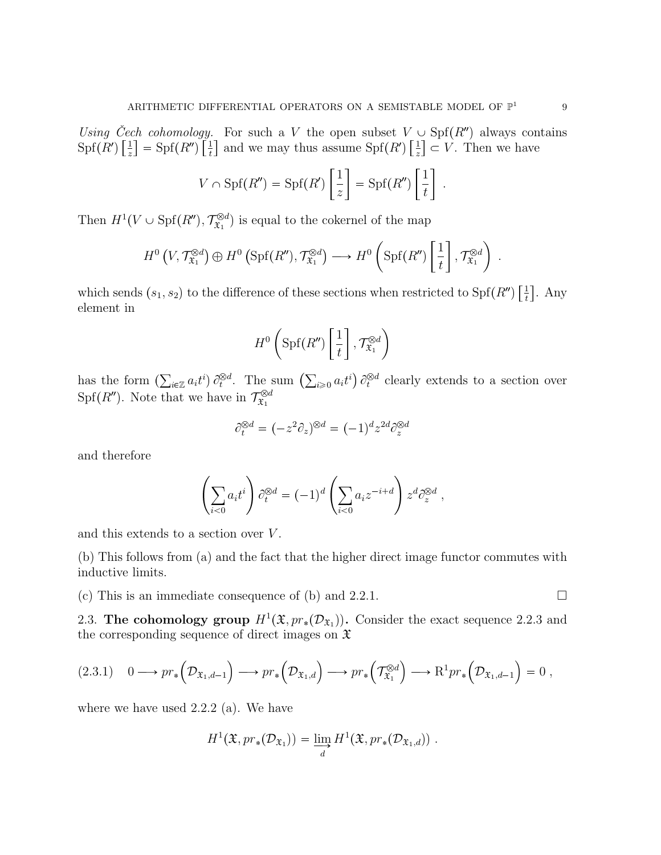Using Čech cohomology. For such a V the open subset  $V \cup Spf(R'')$  always contains  $\mathrm{Spf}(R')\left[\frac{1}{z}\right]$  $\frac{1}{z}$ ] = Spf $(R'')$  $\left[\frac{1}{t}\right]$  $\frac{1}{t}$  and we may thus assume Spf(R')  $\left[\frac{1}{z}\right]$  $\left[\frac{1}{z}\right] \subset V$ . Then we have

$$
V \cap \mathrm{Spf}(R'') = \mathrm{Spf}(R') \left[ \frac{1}{z} \right] = \mathrm{Spf}(R'') \left[ \frac{1}{t} \right] .
$$

Then  $H^1(V \cup \text{Spf}(R''), \mathcal{T}_{\mathfrak{X}_1}^{\otimes d})$  $\tilde{\mathfrak{X}}_1^{\otimes d}$  is equal to the cokernel of the map

$$
H^0(V, \mathcal{T}_{\mathfrak{X}_1}^{\otimes d}) \oplus H^0(\mathrm{Spf}(R''), \mathcal{T}_{\mathfrak{X}_1}^{\otimes d}) \longrightarrow H^0\left(\mathrm{Spf}(R'')\left[\frac{1}{t}\right], \mathcal{T}_{\mathfrak{X}_1}^{\otimes d}\right) .
$$

which sends  $(s_1, s_2)$  to the difference of these sections when restricted to Spf $(R'')\left[\frac{1}{t}\right]$  $\frac{1}{t}$ . Any element in

$$
H^{0}\left(\mathrm{Spf}(R'')\left[\frac{1}{t}\right],\mathcal{T}_{\mathfrak{X}_{1}}^{\otimes d}\right)
$$

has the form  $(\sum_{i\in\mathbb{Z}} a_i t^i) \partial_t^{\otimes d}$ . The sum  $(\sum_{i\geqslant 0} a_i t^i) \partial_t^{\otimes d}$  clearly extends to a section over  $Spf(R'')$ . Note that we have in  $\mathcal{T}_{\mathfrak{X}_1}^{\otimes d}$  $\mathfrak{X}_1$ 

$$
\partial_t^{\otimes d} = (-z^2 \partial_z)^{\otimes d} = (-1)^d z^{2d} \partial_z^{\otimes d}
$$

and therefore

$$
\left(\sum_{i<0} a_i t^i\right) \partial_t^{\otimes d} = (-1)^d \left(\sum_{i<0} a_i z^{-i+d}\right) z^d \partial_z^{\otimes d} ,
$$

and this extends to a section over  $V$ .

(b) This follows from (a) and the fact that the higher direct image functor commutes with inductive limits.

(c) This is an immediate consequence of (b) and 2.2.1.  $\Box$ 

2.3. The cohomology group  $H^1(\mathfrak{X}, pr_*(\mathcal{D}_{\mathfrak{X}_1}))$ . Consider the exact sequence 2.2.3 and the corresponding sequence of direct images on  $\mathfrak X$ 

$$
(2.3.1) \quad 0 \longrightarrow pr_*\left(\mathcal{D}_{\mathfrak{X}_1,d-1}\right) \longrightarrow pr_*\left(\mathcal{D}_{\mathfrak{X}_1,d}\right) \longrightarrow pr_*\left(\mathcal{T}_{\mathfrak{X}_1}^{\otimes d}\right) \longrightarrow R^1pr_*\left(\mathcal{D}_{\mathfrak{X}_1,d-1}\right) = 0,
$$

where we have used 2.2.2 (a). We have

$$
H^{1}(\mathfrak{X}, pr_{*}(\mathcal{D}_{\mathfrak{X}_{1}})) = \varinjlim_{d} H^{1}(\mathfrak{X}, pr_{*}(\mathcal{D}_{\mathfrak{X}_{1}, d})) .
$$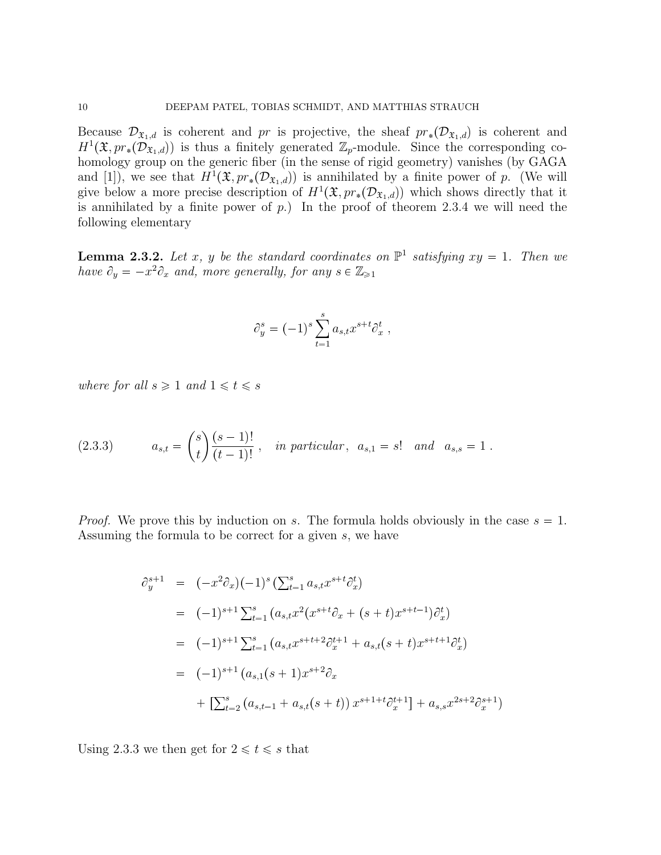Because  $\mathcal{D}_{\mathfrak{X}_1,d}$  is coherent and pr is projective, the sheaf  $pr_*(\mathcal{D}_{\mathfrak{X}_1,d})$  is coherent and  $H^1(\mathfrak{X}, pr_*(\mathcal{D}_{\mathfrak{X}_1,d}))$  is thus a finitely generated  $\mathbb{Z}_p$ -module. Since the corresponding cohomology group on the generic fiber (in the sense of rigid geometry) vanishes (by GAGA and [1]), we see that  $H^1(\mathfrak{X}, pr_*(\mathcal{D}_{\mathfrak{X}_1,d}))$  is annihilated by a finite power of p. (We will give below a more precise description of  $H^1(\mathfrak{X}, pr_*(\mathcal{D}_{\mathfrak{X}_1,d}))$  which shows directly that it is annihilated by a finite power of  $p$ .) In the proof of theorem 2.3.4 we will need the following elementary

**Lemma 2.3.2.** Let x, y be the standard coordinates on  $\mathbb{P}^1$  satisfying  $xy = 1$ . Then we have  $\partial_y = -x^2 \partial_x$  and, more generally, for any  $s \in \mathbb{Z}_{\geq 1}$ 

$$
\partial_y^s = (-1)^s \sum_{t=1}^s a_{s,t} x^{s+t} \partial_x^t ,
$$

where for all  $s \geq 1$  and  $1 \leq t \leq s$ 

(2.3.3) 
$$
a_{s,t} = {s \choose t} \frac{(s-1)!}{(t-1)!}, \text{ in particular, } a_{s,1} = s! \text{ and } a_{s,s} = 1.
$$

*Proof.* We prove this by induction on s. The formula holds obviously in the case  $s = 1$ . Assuming the formula to be correct for a given s, we have

$$
\partial_y^{s+1} = (-x^2 \partial_x)(-1)^s \left( \sum_{t=1}^s a_{s,t} x^{s+t} \partial_x^t \right)
$$
  
\n
$$
= (-1)^{s+1} \sum_{t=1}^s (a_{s,t} x^2 (x^{s+t} \partial_x + (s+t) x^{s+t-1}) \partial_x^t)
$$
  
\n
$$
= (-1)^{s+1} \sum_{t=1}^s (a_{s,t} x^{s+t+2} \partial_x^{t+1} + a_{s,t} (s+t) x^{s+t+1} \partial_x^t)
$$
  
\n
$$
= (-1)^{s+1} (a_{s,1} (s+1) x^{s+2} \partial_x + \left[ \sum_{t=2}^s (a_{s,t-1} + a_{s,t} (s+t)) x^{s+1+t} \partial_x^{t+1} \right] + a_{s,s} x^{2s+2} \partial_x^{s+1})
$$

Using 2.3.3 we then get for  $2 \le t \le s$  that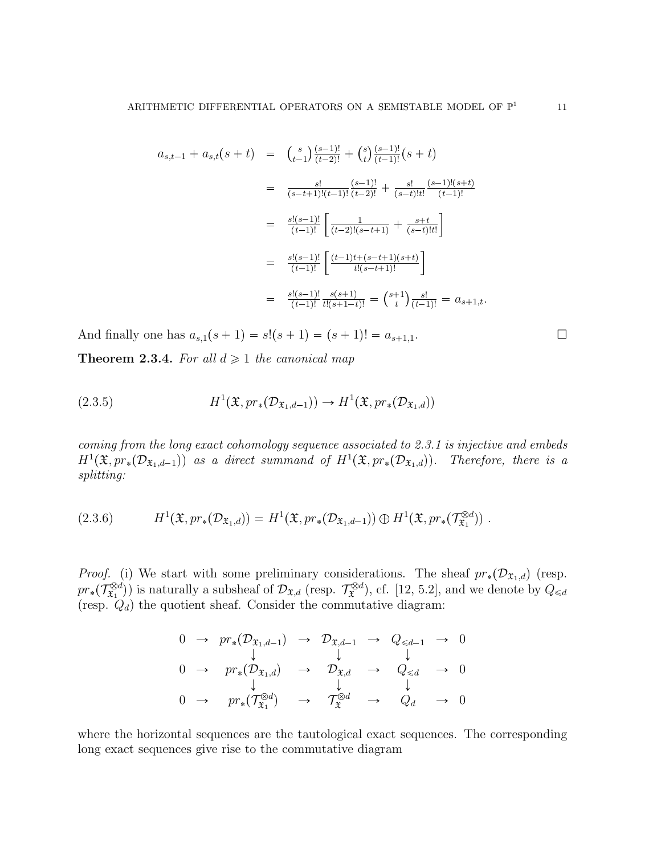$$
a_{s,t-1} + a_{s,t}(s+t) = {s \choose t-1} \frac{(s-1)!}{(t-2)!} + {s \choose t} \frac{(s-1)!}{(t-1)!} (s+t)
$$
  

$$
= \frac{s!}{(s-t+1)!(t-1)!} \frac{(s-1)!}{(t-2)!} + \frac{s!}{(s-t)!t!} \frac{(s-1)!(s+t)}{(t-1)!}
$$
  

$$
= \frac{s!(s-1)!}{(t-1)!} \left[ \frac{1}{(t-2)!(s-t+1)} + \frac{s+t}{(s-t)!t!} \right]
$$
  

$$
= \frac{s!(s-1)!}{(t-1)!} \left[ \frac{(t-1)t+(s-t+1)(s+t)}{t!(s-t+1)!} \right]
$$
  

$$
= \frac{s!(s-1)!}{(t-1)!} \frac{s(s+1)}{t!(s+1-t)!} = {s+1 \choose t} \frac{s!}{(t-1)!} = a_{s+1,t}.
$$

And finally one has  $a_{s,1}(s + 1) = s!(s + 1) = (s + 1)! = a_{s+1,1}.$ 

**Theorem 2.3.4.** For all  $d \geq 1$  the canonical map

(2.3.5) 
$$
H^1(\mathfrak{X}, pr_*(\mathcal{D}_{\mathfrak{X}_1,d-1})) \to H^1(\mathfrak{X}, pr_*(\mathcal{D}_{\mathfrak{X}_1,d}))
$$

coming from the long exact cohomology sequence associated to 2.3.1 is injective and embeds  $H^1(\mathfrak{X}, pr_*(\mathcal{D}_{\mathfrak{X}_1,d-1}))$  as a direct summand of  $H^1(\mathfrak{X}, pr_*(\mathcal{D}_{\mathfrak{X}_1,d}))$ . Therefore, there is a splitting:

$$
(2.3.6) \tH1(\mathfrak{X}, pr_*(\mathcal{D}_{\mathfrak{X}_1,d})) = H1(\mathfrak{X}, pr_*(\mathcal{D}_{\mathfrak{X}_1,d-1})) \oplus H1(\mathfrak{X}, pr_*(\mathcal{T}_{\mathfrak{X}_1}^{\otimes d})) .
$$

*Proof.* (i) We start with some preliminary considerations. The sheaf  $pr_*(\mathcal{D}_{\mathfrak{X}_1,d})$  (resp.  $pr_*(\mathcal{T}_{\mathfrak{X}_1}^{\otimes d})$  $(\mathcal{L}^{ad})$  is naturally a subsheaf of  $\mathcal{D}_{\mathfrak{X},d}$  (resp.  $\mathcal{T}^{ad}_{\mathfrak{X}}$ ), cf. [12, 5.2], and we denote by  $Q_{\leq d}$ (resp.  $Q_d$ ) the quotient sheaf. Consider the commutative diagram:

$$
\begin{array}{ccccccc}\n0 & \rightarrow & pr_{*}(\mathcal{D}_{\mathfrak{X}_{1},d-1}) & \rightarrow & \mathcal{D}_{\mathfrak{X},d-1} & \rightarrow & Q_{\leq d-1} & \rightarrow & 0 \\
& & \downarrow & & \downarrow & & \downarrow & & \\
0 & \rightarrow & pr_{*}(\mathcal{D}_{\mathfrak{X}_{1},d}) & \rightarrow & \mathcal{D}_{\mathfrak{X},d} & \rightarrow & Q_{\leq d} & \rightarrow & 0 \\
& & \downarrow & & \downarrow & & \downarrow & & \\
0 & \rightarrow & pr_{*}(\mathcal{T}_{\mathfrak{X}_{1}}^{\otimes d}) & \rightarrow & \mathcal{T}_{\mathfrak{X}}^{\otimes d} & \rightarrow & Q_{d} & \rightarrow & 0\n\end{array}
$$

where the horizontal sequences are the tautological exact sequences. The corresponding long exact sequences give rise to the commutative diagram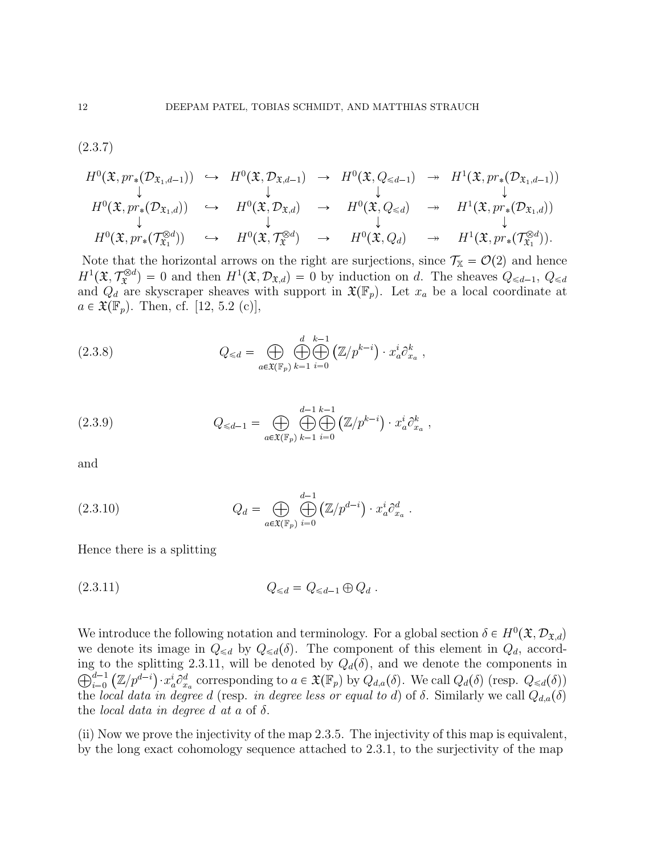(2.3.7)

$$
H^{0}(\mathfrak{X}, pr_{*}(\mathcal{D}_{\mathfrak{X}_{1},d-1})) \hookrightarrow H^{0}(\mathfrak{X}, \mathcal{D}_{\mathfrak{X},d-1}) \rightarrow H^{0}(\mathfrak{X}, Q_{\leq d-1}) \rightarrow H^{1}(\mathfrak{X}, pr_{*}(\mathcal{D}_{\mathfrak{X}_{1},d-1}))
$$
\n
$$
\downarrow \qquad \qquad \downarrow \qquad \qquad \downarrow
$$
\n
$$
H^{0}(\mathfrak{X}, pr_{*}(\mathcal{D}_{\mathfrak{X}_{1},d})) \hookrightarrow H^{0}(\mathfrak{X}, \mathcal{D}_{\mathfrak{X},d}) \rightarrow H^{0}(\mathfrak{X}, Q_{\leq d}) \rightarrow H^{1}(\mathfrak{X}, pr_{*}(\mathcal{D}_{\mathfrak{X}_{1},d}))
$$
\n
$$
\downarrow \qquad \qquad \downarrow \qquad \qquad \downarrow
$$
\n
$$
H^{0}(\mathfrak{X}, pr_{*}(\mathcal{T}_{\mathfrak{X}_{1}}^{\otimes d})) \rightarrow H^{0}(\mathfrak{X}, \mathcal{T}_{\mathfrak{X}}^{\otimes d}) \rightarrow H^{0}(\mathfrak{X}, Q_{d}) \rightarrow H^{1}(\mathfrak{X}, pr_{*}(\mathcal{T}_{\mathfrak{X}_{1}}^{\otimes d}))
$$

Note that the horizontal arrows on the right are surjections, since  $\mathcal{T}_{\mathbb{X}} = \mathcal{O}(2)$  and hence  $H^1(\mathfrak{X}, \mathcal{T}_{\mathfrak{X}}^{\otimes d}) = 0$  and then  $H^1(\mathfrak{X}, \mathcal{D}_{\mathfrak{X},d}) = 0$  by induction on d. The sheaves  $Q_{\leq d-1}, Q_{\leq d}$ and  $Q_d$  are skyscraper sheaves with support in  $\mathfrak{X}(\mathbb{F}_p)$ . Let  $x_a$  be a local coordinate at  $a \in \mathfrak{X}(\mathbb{F}_p)$ . Then, cf. [12, 5.2 (c)],

(2.3.8) 
$$
Q_{\leq d} = \bigoplus_{a \in \mathfrak{X}(\mathbb{F}_p)} \bigoplus_{k=1}^d \bigoplus_{i=0}^{k-1} (\mathbb{Z}/p^{k-i}) \cdot x_a^i \partial_{x_a}^k,
$$

(2.3.9) 
$$
Q_{\leq d-1} = \bigoplus_{a \in \mathfrak{X}(\mathbb{F}_p)} \bigoplus_{k=1}^{d-1} \bigoplus_{i=0}^{k-1} (\mathbb{Z}/p^{k-i}) \cdot x_a^i \partial_{x_a}^k,
$$

and

(2.3.10) 
$$
Q_d = \bigoplus_{a \in \mathfrak{X}(\mathbb{F}_p)} \bigoplus_{i=0}^{d-1} (\mathbb{Z}/p^{d-i}) \cdot x_a^i \partial_{x_a}^d.
$$

Hence there is a splitting

(2.3.11) 
$$
Q_{\leq d} = Q_{\leq d-1} \oplus Q_d
$$
.

We introduce the following notation and terminology. For a global section  $\delta \in H^0(\mathfrak{X}, \mathcal{D}_{\mathfrak{X},d})$ we denote its image in  $Q_{\leq d}$  by  $Q_{\leq d}(\delta)$ . The component of this element in  $Q_d$ , according to the splitting 2.3.11, will be denoted by  $Q_d(\delta)$ , and we denote the components in  $\bigoplus_{i=0}^{d-1}$  $\lim_{i=0}^{d-1} (\mathbb{Z}/p^{d-i}) \cdot x_a^i \partial_{x_a}^d$  corresponding to  $a \in \mathfrak{X}(\mathbb{F}_p)$  by  $Q_{d,a}(\delta)$ . We call  $Q_d(\delta)$  (resp.  $Q_{\leq d}(\delta)$ ) the local data in degree d (resp. in degree less or equal to d) of  $\delta$ . Similarly we call  $Q_{d,a}(\delta)$ the *local data in degree d at a* of  $\delta$ .

(ii) Now we prove the injectivity of the map 2.3.5. The injectivity of this map is equivalent, by the long exact cohomology sequence attached to 2.3.1, to the surjectivity of the map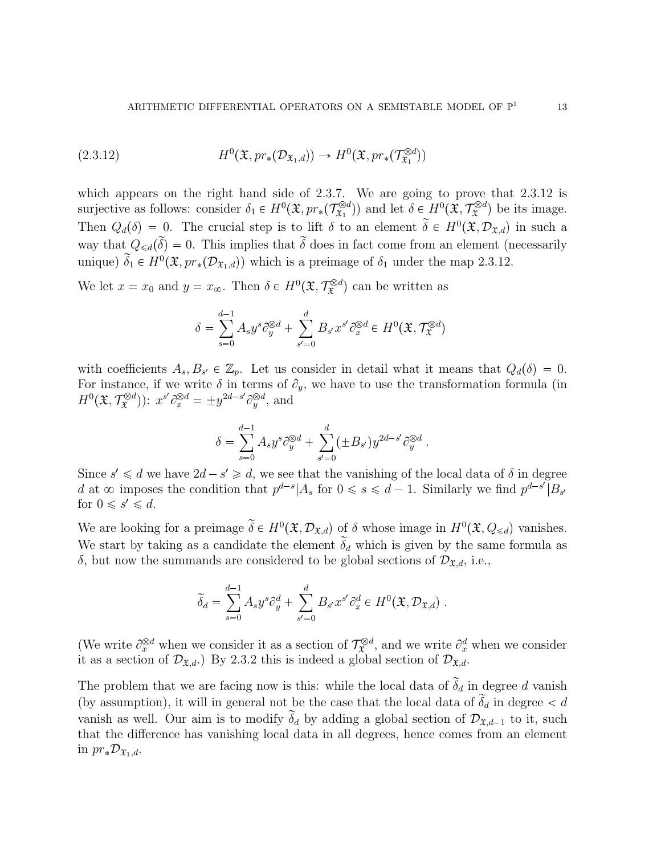(2.3.12) 
$$
H^{0}(\mathfrak{X}, pr_{*}(\mathcal{D}_{\mathfrak{X}_{1}, d})) \to H^{0}(\mathfrak{X}, pr_{*}(\mathcal{T}_{\mathfrak{X}_{1}}^{\otimes d}))
$$

which appears on the right hand side of 2.3.7. We are going to prove that 2.3.12 is surjective as follows: consider  $\delta_1 \in H^0(\mathfrak{X}, pr_*(\mathcal{T}^{\otimes d}_{\mathfrak{X}_1})$  $(\mathfrak{X}^{\otimes d}_1)$  and let  $\delta \in H^0(\mathfrak{X}, \mathcal{T}_{\mathfrak{X}}^{\otimes d})$  be its image. Then  $Q_d(\delta) = 0$ . The crucial step is to lift  $\delta$  to an element  $\delta \in H^0(\mathfrak{X}, \mathcal{D}_{\mathfrak{X},d})$  in such a way that  $Q_{\leq d}(\tilde{\delta}) = 0$ . This implies that  $\tilde{\delta}$  does in fact come from an element (necessarily unique)  $\delta_1 \in H^0(\mathfrak{X}, pr_*(\mathcal{D}_{\mathfrak{X}_1,d})$  which is a preimage of  $\delta_1$  under the map 2.3.12.

We let  $x = x_0$  and  $y = x_{\infty}$ . Then  $\delta \in H^0(\mathfrak{X}, \mathcal{T}_{\mathfrak{X}}^{\otimes d})$  can be written as

$$
\delta = \sum_{s=0}^{d-1} A_s y^s \partial_y^{\otimes d} + \sum_{s'=0}^d B_{s'} x^{s'} \partial_x^{\otimes d} \in H^0(\mathfrak{X}, \mathcal{T}_{\mathfrak{X}}^{\otimes d})
$$

with coefficients  $A_s, B_{s'} \in \mathbb{Z}_p$ . Let us consider in detail what it means that  $Q_d(\delta) = 0$ . For instance, if we write  $\delta$  in terms of  $\partial_y$ , we have to use the transformation formula (in  $H^0(\mathfrak{X}, \mathcal{T}_{\mathfrak{X}}^{\otimes d})$ :  $x^{s'} \partial_x^{\otimes d} = \pm y^{2d-s'} \partial_y^{\otimes d}$ , and

$$
\delta = \sum_{s=0}^{d-1} A_s y^s \partial_y^{\otimes d} + \sum_{s'=0}^d (\pm B_{s'}) y^{2d-s'} \partial_y^{\otimes d}.
$$

Since  $s' \leq d$  we have  $2d - s' \geq d$ , we see that the vanishing of the local data of  $\delta$  in degree d at  $\infty$  imposes the condition that  $p^{d-s}|A_s$  for  $0 \le s \le d-1$ . Similarly we find  $p^{d-s'}|B_{s'}|$ for  $0 \le s' \le d$ .

We are looking for a preimage  $\delta \in H^0(\mathfrak{X}, \mathcal{D}_{\mathfrak{X},d})$  of  $\delta$  whose image in  $H^0(\mathfrak{X}, Q_{\le d})$  vanishes. We start by taking as a candidate the element  $\tilde{\delta}_d$  which is given by the same formula as δ, but now the summands are considered to be global sections of  $\mathcal{D}_{\mathfrak{X},d}$ , i.e.,

$$
\widetilde{\delta}_d = \sum_{s=0}^{d-1} A_s y^s \partial_y^d + \sum_{s'=0}^d B_{s'} x^{s'} \partial_x^d \in H^0(\mathfrak{X}, \mathcal{D}_{\mathfrak{X},d}) .
$$

(We write  $\partial_x^{\otimes d}$  when we consider it as a section of  $\mathcal{T}_{\mathfrak{T}}^{\otimes d}$ , and we write  $\partial_x^d$  when we consider it as a section of  $\mathcal{D}_{\mathfrak{X},d}$ .) By 2.3.2 this is indeed a global section of  $\mathcal{D}_{\mathfrak{X},d}$ .

The problem that we are facing now is this: while the local data of  $\tilde{\delta}_d$  in degree d vanish (by assumption), it will in general not be the case that the local data of  $\tilde{\delta}_d$  in degree  $\lt d$ vanish as well. Our aim is to modify  $\tilde{\delta}_d$  by adding a global section of  $\mathcal{D}_{\mathfrak{X},d-1}$  to it, such that the difference has vanishing local data in all degrees, hence comes from an element in  $pr_*\mathcal{D}_{\mathfrak{X}_1,d}.$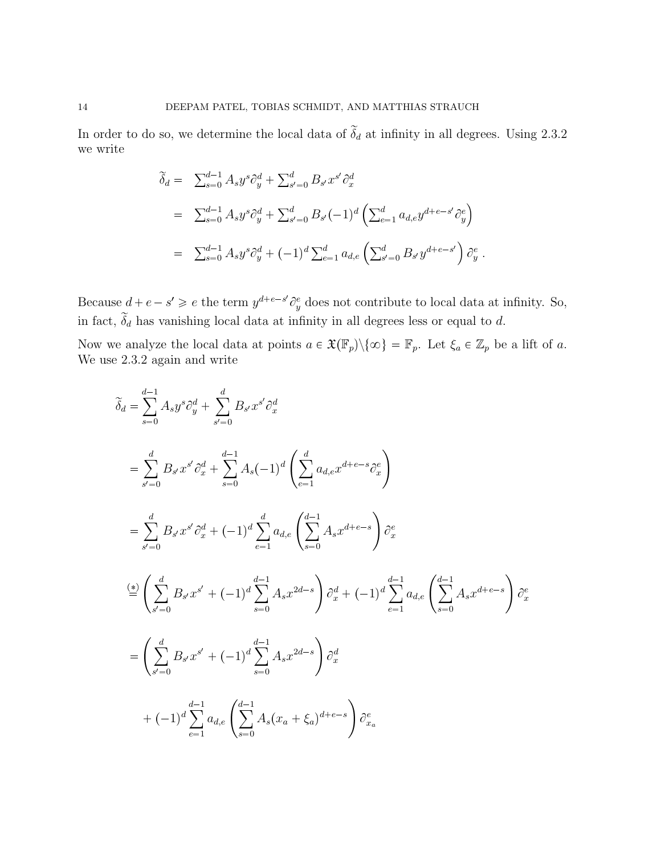In order to do so, we determine the local data of  $\tilde{\delta}_d$  at infinity in all degrees. Using 2.3.2 we write

$$
\begin{split}\n\widetilde{\delta}_d &= \sum_{s=0}^{d-1} A_s y^s \partial_y^d + \sum_{s'=0}^d B_{s'} x^{s'} \partial_x^d \\
&= \sum_{s=0}^{d-1} A_s y^s \partial_y^d + \sum_{s'=0}^d B_{s'} (-1)^d \left( \sum_{e=1}^d a_{d,e} y^{d+e-s'} \partial_y^e \right) \\
&= \sum_{s=0}^{d-1} A_s y^s \partial_y^d + (-1)^d \sum_{e=1}^d a_{d,e} \left( \sum_{s'=0}^d B_{s'} y^{d+e-s'} \right) \partial_y^e .\n\end{split}
$$

Because  $d + e - s' \geq e$  the term  $y^{d+e-s'} \partial_y^e$  does not contribute to local data at infinity. So, in fact,  $\delta_d$  has vanishing local data at infinity in all degrees less or equal to d.

Now we analyze the local data at points  $a \in \mathfrak{X}(\mathbb{F}_p)\setminus\{\infty\} = \mathbb{F}_p$ . Let  $\xi_a \in \mathbb{Z}_p$  be a lift of a. We use  $2.3.2$  again and write

$$
\tilde{\delta}_{d} = \sum_{s=0}^{d-1} A_{s} y^{s} \partial_{y}^{d} + \sum_{s'=0}^{d} B_{s'} x^{s'} \partial_{x}^{d}
$$
\n
$$
= \sum_{s'=0}^{d} B_{s'} x^{s'} \partial_{x}^{d} + \sum_{s=0}^{d-1} A_{s} (-1)^{d} \left( \sum_{e=1}^{d} a_{d,e} x^{d+e-s} \partial_{x}^{e} \right)
$$
\n
$$
= \sum_{s'=0}^{d} B_{s'} x^{s'} \partial_{x}^{d} + (-1)^{d} \sum_{e=1}^{d} a_{d,e} \left( \sum_{s=0}^{d-1} A_{s} x^{d+e-s} \right) \partial_{x}^{e}
$$
\n
$$
\stackrel{(*)}{=} \left( \sum_{s'=0}^{d} B_{s'} x^{s'} + (-1)^{d} \sum_{s=0}^{d-1} A_{s} x^{2d-s} \right) \partial_{x}^{d} + (-1)^{d} \sum_{e=1}^{d-1} a_{d,e} \left( \sum_{s=0}^{d-1} A_{s} x^{d+e-s} \right) \partial_{x}^{e}
$$
\n
$$
= \left( \sum_{s'=0}^{d} B_{s'} x^{s'} + (-1)^{d} \sum_{s=0}^{d-1} A_{s} x^{2d-s} \right) \partial_{x}^{d}
$$
\n
$$
+ (-1)^{d} \sum_{e=1}^{d-1} a_{d,e} \left( \sum_{s=0}^{d-1} A_{s} (x_{a} + \xi_{a})^{d+e-s} \right) \partial_{x}^{e}
$$

 $\overline{a}$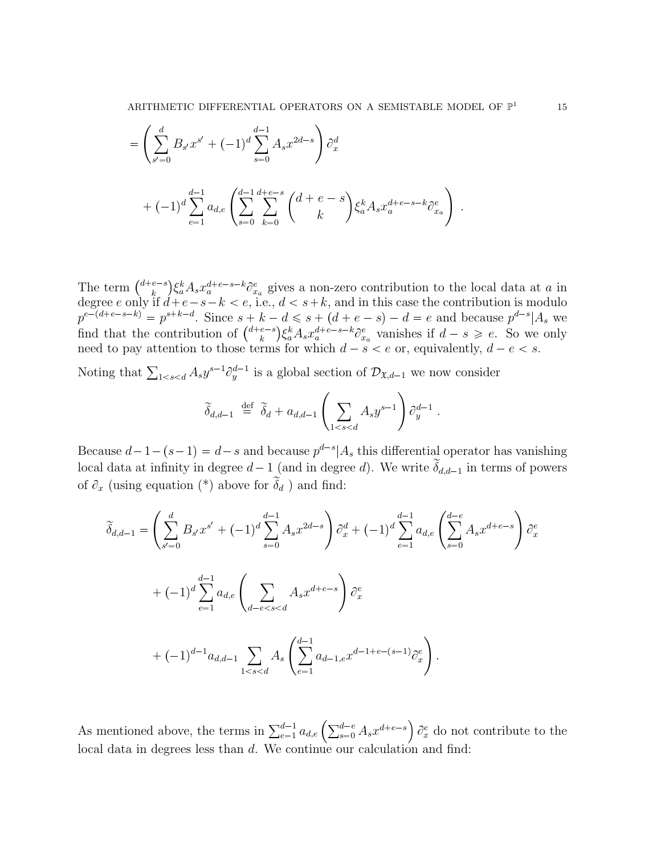ARITHMETIC DIFFERENTIAL OPERATORS ON A SEMISTABLE MODEL OF  $\mathbb{P}^1$ 

$$
= \left(\sum_{s'=0}^{d} B_{s'} x^{s'} + (-1)^d \sum_{s=0}^{d-1} A_s x^{2d-s}\right) \partial_x^d
$$
  
+ 
$$
(-1)^d \sum_{e=1}^{d-1} a_{d,e} \left(\sum_{s=0}^{d-1} \sum_{k=0}^{d+e-s} \binom{d+e-s}{k} \xi_a^k A_s x_a^{d+e-s-k} \partial_{x_a}^e\right).
$$

The term  $\binom{d+e-s}{k}$  $\int_{k_a}^{e-s} \left( \xi_a^k A_s x_a^{d+e-s-k} \partial_{x_a}^e \right)$  gives a non-zero contribution to the local data at a in degree e only if  $d+e-s-k < e$ , i.e.,  $d < s+k$ , and in this case the contribution is modulo  $p^{e-(d+e-s-k)} = p^{s+k-d}$ . Since  $s+k-d \leq s+(d+e-s)-d = e$  and because  $p^{d-s}|A_s$  we find that the contribution of  $\binom{d+e-s}{k}$  ${k \choose k} \xi_a^k A_s x_a^{d+e-s-k} \partial_{x_a}^e$  vanishes if  $d-s \geq e$ . So we only need to pay attention to those terms for which  $d - s < e$  or, equivalently,  $d - e < s$ .

Noting that  $\sum_{1 \le s \le d} A_s y^{s-1} \partial_y^{d-1}$  is a global section of  $\mathcal{D}_{\mathfrak{X},d-1}$  we now consider

$$
\widetilde{\delta}_{d,d-1} \stackrel{\text{def}}{=} \widetilde{\delta}_d + a_{d,d-1} \left( \sum_{1 < s < d} A_s y^{s-1} \right) \partial_y^{d-1} \, .
$$

Because  $d-1-(s-1) = d-s$  and because  $p^{d-s}|A_s$  this differential operator has vanishing local data at infinity in degree  $d-1$  (and in degree d). We write  $\widetilde{\delta}_{d,d-1}$  in terms of powers of  $\partial_x$  (using equation (\*) above for  $\tilde{\delta}_d$  ) and find:

$$
\widetilde{\delta}_{d,d-1} = \left(\sum_{s'=0}^{d} B_{s'} x^{s'} + (-1)^d \sum_{s=0}^{d-1} A_s x^{2d-s}\right) \partial_x^d + (-1)^d \sum_{e=1}^{d-1} a_{d,e} \left(\sum_{s=0}^{d-e} A_s x^{d+e-s}\right) \partial_x^e
$$

$$
+ (-1)^d \sum_{e=1}^{d-1} a_{d,e} \left(\sum_{d-e
$$
+ (-1)^{d-1} a_{d,d-1} \sum_{1
$$
$$

As mentioned above, the terms in  $\sum_{e=1}^{d-1} a_{d,e} \left( \sum_{s=0}^{d-e} A_s x^{d+e-s} \right)$  $\partial_x^e$  do not contribute to the local data in degrees less than d. We continue our calculation and find: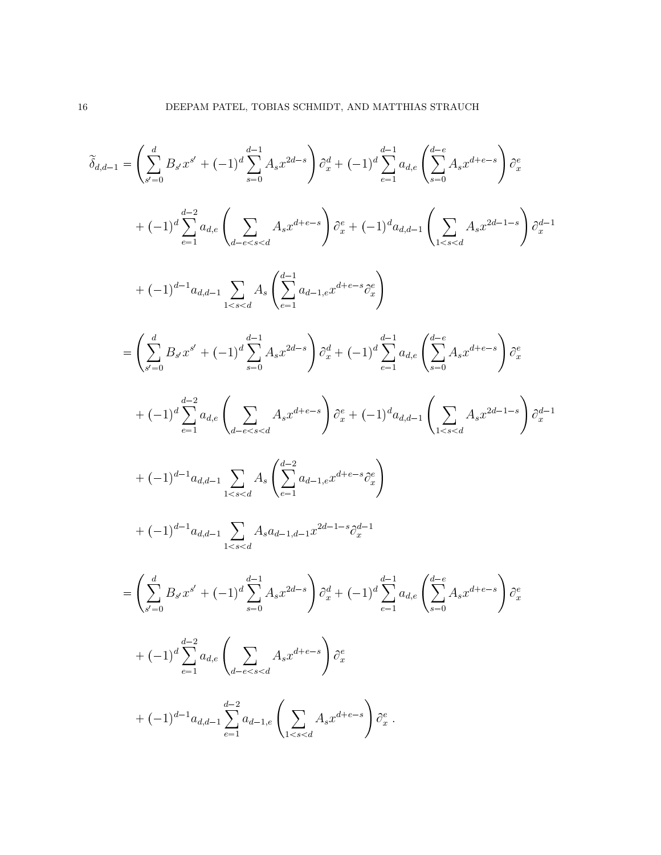$$
\tilde{\delta}_{d,d-1} = \left(\sum_{s'=0}^{d} B_{s'} x^{s'} + (-1)^d \sum_{s=0}^{d-1} A_s x^{2d-s}\right) \partial_x^d + (-1)^d \sum_{e=1}^{d-1} a_{d,e} \left(\sum_{s=0}^{d-e} A_s x^{d+e-s}\right) \partial_x^e
$$
\n
$$
+ (-1)^d \sum_{e=1}^{d-2} a_{d,e} \left(\sum_{d-e\n
$$
= \left(\sum_{s'=0}^{d} B_{s'} x^{s'} + (-1)^d \sum_{s=0}^{d-1} A_s x^{2d-s}\right) \partial_x^d + (-1)^d \sum_{e=1}^{d-1} a_{d,e} \left(\sum_{s=0}^{d-e} A_s x^{d+e-s}\right) \partial_x^e + (-1)^d \sum_{e=1}^{d-2} a_{d,e} \left(\sum_{s=0}^{d-e} A_s x^{d+e-s}\right) \partial_x^e + (-1)^d a_{d,d-1} \left(\sum_{1\n
$$
+ (-1)^{d-1} a_{d,d-1} \sum_{1\n
$$
+ (-1)^{d-1} a_{d,d-1} \sum_{1\n
$$
= \left(\sum_{s'=0}^{d} B_{s'} x^{s'} + (-1)^d \sum_{s=0}^{d-1} A_s x^{2d-s}\right) \partial_x^d + (-1)^d \sum_{e=1}^{d-1} a_{d,e} \left(\sum_{s=0}^{d-e} A_s x^{d+e-s}\right) \partial_x^e + (-1)^d \sum_{e=1}^{d-2} a_{d,e} \left(\sum_{s=0}^{d-e} A_s x^{d+
$$
$$
$$
$$
$$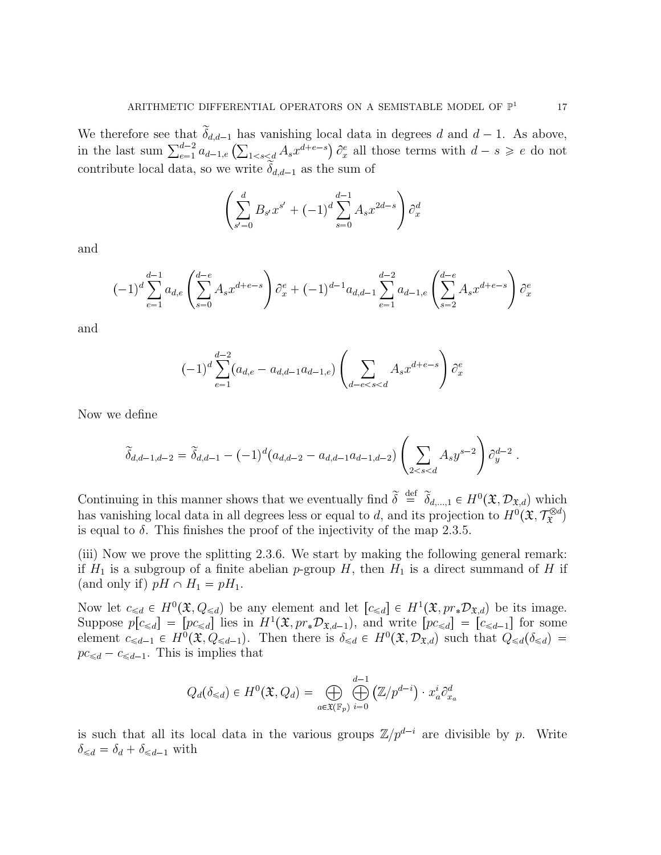We therefore see that  $\tilde{\delta}_{d,d-1}$  has vanishing local data in degrees d and  $d-1$ . As above, in the last sum  $\sum_{e=1}^{d-2} a_{d-1,e} \left( \sum_{1 \leq s \leq d} A_s x^{d+e-s} \right) \partial_x^e$  all those terms with  $d-s \geq e$  do not contribute local data, so we write  $\delta_{d,d-1}$  as the sum of

$$
\left(\sum_{s'=0}^{d} B_{s'} x^{s'} + (-1)^d \sum_{s=0}^{d-1} A_s x^{2d-s} \right) \partial_x^d
$$

and

$$
(-1)^d \sum_{e=1}^{d-1} a_{d,e} \left( \sum_{s=0}^{d-e} A_s x^{d+e-s} \right) \partial_x^e + (-1)^{d-1} a_{d,d-1} \sum_{e=1}^{d-2} a_{d-1,e} \left( \sum_{s=2}^{d-e} A_s x^{d+e-s} \right) \partial_x^e
$$

and

$$
(-1)^d \sum_{e=1}^{d-2} (a_{d,e} - a_{d,d-1}a_{d-1,e}) \left( \sum_{d-e
$$

Now we define

$$
\widetilde{\delta}_{d,d-1,d-2} = \widetilde{\delta}_{d,d-1} - (-1)^d (a_{d,d-2} - a_{d,d-1} a_{d-1,d-2}) \left( \sum_{2 < s < d} A_s y^{s-2} \right) \partial_y^{d-2}.
$$

Continuing in this manner shows that we eventually find  $\widetilde{\delta} \stackrel{\text{def}}{=} \widetilde{\delta}_{d,\dots,1} \in H^0(\mathfrak{X}, \mathcal{D}_{\mathfrak{X},d})$  which has vanishing local data in all degrees less or equal to d, and its projection to  $H^0(\mathfrak{X}, \mathcal{T}_{\mathfrak{X}}^{\otimes d})$ is equal to  $\delta$ . This finishes the proof of the injectivity of the map 2.3.5.

(iii) Now we prove the splitting 2.3.6. We start by making the following general remark: if  $H_1$  is a subgroup of a finite abelian p-group H, then  $H_1$  is a direct summand of H if (and only if)  $pH \cap H_1 = pH_1$ .

Now let  $c_{\leq d} \in H^0(\mathfrak{X}, Q_{\leq d})$  be any element and let  $[c_{\leq d}] \in H^1(\mathfrak{X}, pr_*\mathcal{D}_{\mathfrak{X},d})$  be its image. Suppose  $p[c_{\leq d}] = [pc_{\leq d}]$  lies in  $H^1(\mathfrak{X}, pr_*\mathcal{D}_{\mathfrak{X},d-1})$ , and write  $[pc_{\leq d}] = [c_{\leq d-1}]$  for some element  $c_{\leq d-1} \in H^0(\mathfrak{X}, Q_{\leq d-1})$ . Then there is  $\delta_{\leq d} \in H^0(\mathfrak{X}, \mathcal{D}_{\mathfrak{X},d})$  such that  $Q_{\leq d}(\delta_{\leq d})$  $pc_{\leq d} - c_{\leq d-1}$ . This is implies that

$$
Q_d(\delta_{\leqslant d})\in H^0({\mathfrak X},Q_d)=\bigoplus_{a\in{\mathfrak X}({\mathbb F}_p)}\bigoplus_{i=0}^{d-1}\left({\mathbb Z}/p^{d-i}\right)\cdot x_a^i\partial_{x_a}^d
$$

is such that all its local data in the various groups  $\mathbb{Z}/p^{d-i}$  are divisible by p. Write  $\delta_{\leq d} = \delta_d + \delta_{\leq d-1}$  with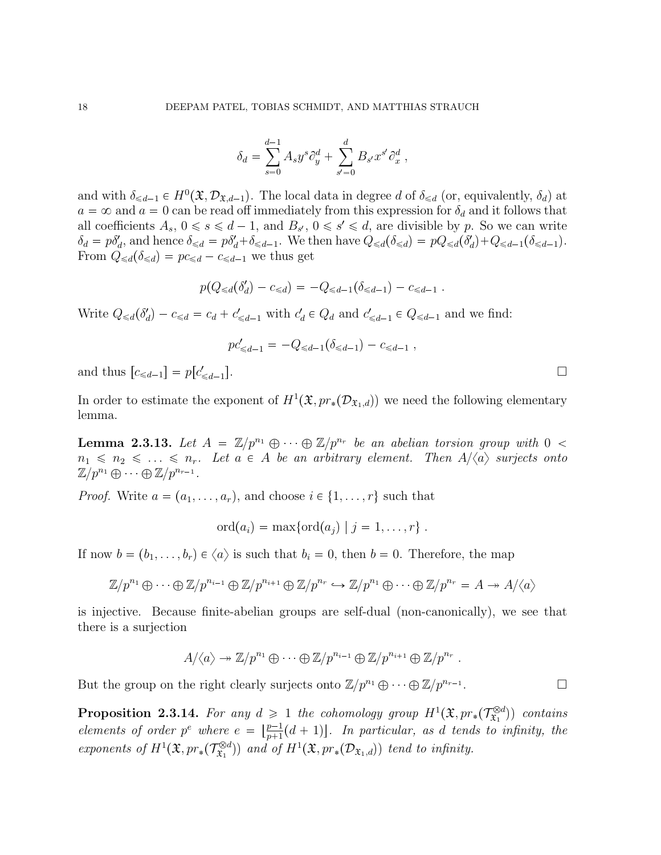$$
\delta_d = \sum_{s=0}^{d-1} A_s y^s \partial_y^d + \sum_{s'=0}^d B_{s'} x^{s'} \partial_x^d,
$$

and with  $\delta_{\leq d-1} \in H^0(\mathfrak{X}, \mathcal{D}_{\mathfrak{X},d-1})$ . The local data in degree d of  $\delta_{\leq d}$  (or, equivalently,  $\delta_d$ ) at  $a = \infty$  and  $a = 0$  can be read off immediately from this expression for  $\delta_d$  and it follows that all coefficients  $A_s$ ,  $0 \le s \le d-1$ , and  $B_{s'}$ ,  $0 \le s' \le d$ , are divisible by p. So we can write  $\delta_d = p\delta_d'$ , and hence  $\delta_{\leq d} = p\delta_d' + \delta_{\leq d-1}$ . We then have  $Q_{\leq d}(\delta_{\leq d}) = pQ_{\leq d}(\delta_d') + Q_{\leq d-1}(\delta_{\leq d-1})$ . From  $Q_{\leq d}(\delta_{\leq d}) = pc_{\leq d} - c_{\leq d-1}$  we thus get

$$
p(Q_{\leq d}(\delta'_d) - c_{\leq d}) = -Q_{\leq d-1}(\delta_{\leq d-1}) - c_{\leq d-1}.
$$

Write  $Q_{\leq d}(\delta_d') - c_{\leq d} = c_d + c'_{\leq d-1}$  with  $c_d' \in Q_d$  and  $c'_{\leq d-1} \in Q_{\leq d-1}$  and we find:

$$
pc'_{\leq d-1} = -Q_{\leq d-1}(\delta_{\leq d-1}) - c_{\leq d-1}
$$
,

and thus  $[c_{\leq d-1}] = p[c'_{\leq d-1}]$ 

In order to estimate the exponent of  $H^1(\mathfrak{X}, pr_*(\mathcal{D}_{\mathfrak{X}_1,d}))$  we need the following elementary lemma.

**Lemma 2.3.13.** Let  $A = \mathbb{Z}/p^{n_1} \oplus \cdots \oplus \mathbb{Z}/p^{n_r}$  be an abelian torsion group with  $0 <$  $n_1 \leq n_2 \leq \ldots \leq n_r$ . Let  $a \in A$  be an arbitrary element. Then  $A/\langle a \rangle$  surjects onto  $\mathbb{Z}/p^{n_1} \oplus \cdots \oplus \mathbb{Z}/p^{n_{r-1}}$ .

*Proof.* Write  $a = (a_1, \ldots, a_r)$ , and choose  $i \in \{1, \ldots, r\}$  such that

$$
ord(a_i) = max{ord(a_j) | j = 1, ..., r}.
$$

If now  $b = (b_1, \ldots, b_r) \in \langle a \rangle$  is such that  $b_i = 0$ , then  $b = 0$ . Therefore, the map

$$
\mathbb{Z}/p^{n_1} \oplus \cdots \oplus \mathbb{Z}/p^{n_{i-1}} \oplus \mathbb{Z}/p^{n_{i+1}} \oplus \mathbb{Z}/p^{n_r} \hookrightarrow \mathbb{Z}/p^{n_1} \oplus \cdots \oplus \mathbb{Z}/p^{n_r} = A \to A/\langle a \rangle
$$

is injective. Because finite-abelian groups are self-dual (non-canonically), we see that there is a surjection

$$
A/\langle a\rangle \twoheadrightarrow \mathbb{Z}/p^{n_1} \oplus \cdots \oplus \mathbb{Z}/p^{n_{i-1}} \oplus \mathbb{Z}/p^{n_{i+1}} \oplus \mathbb{Z}/p^{n_r} .
$$

But the group on the right clearly surjects onto  $\mathbb{Z}/p^{n_1} \oplus \cdots \oplus \mathbb{Z}/p^{n_{r-1}}$ . В последните и последните и последните и последните и последните и последните и последните и последните и по<br>В последните и последните и последните и последните и последните и последните и последните и последните и посл

**Proposition 2.3.14.** For any  $d \geq 1$  the cohomology group  $H^1(\mathfrak{X}, pr_*(\mathcal{T}^{\otimes d}_{\mathfrak{X}_1}))$  $(\mathbf{x}_1^{\otimes d})$  contains elements of order  $p^e$  where  $e = \lfloor \frac{p-1}{p+1} \rfloor$  $\frac{p-1}{p+1}(d+1)$ . In particular, as d tends to infinity, the exponents of  $H^1(\mathfrak{X}, pr_*(\mathcal{T}_{\mathfrak{X}_1}^{\otimes d}))$  $(\mathbb{R}^{d-1})$  and of  $H^1(\mathfrak{X}, pr_*(\mathcal{D}_{\mathfrak{X}_1,d}))$  tend to infinity.

 $\Box$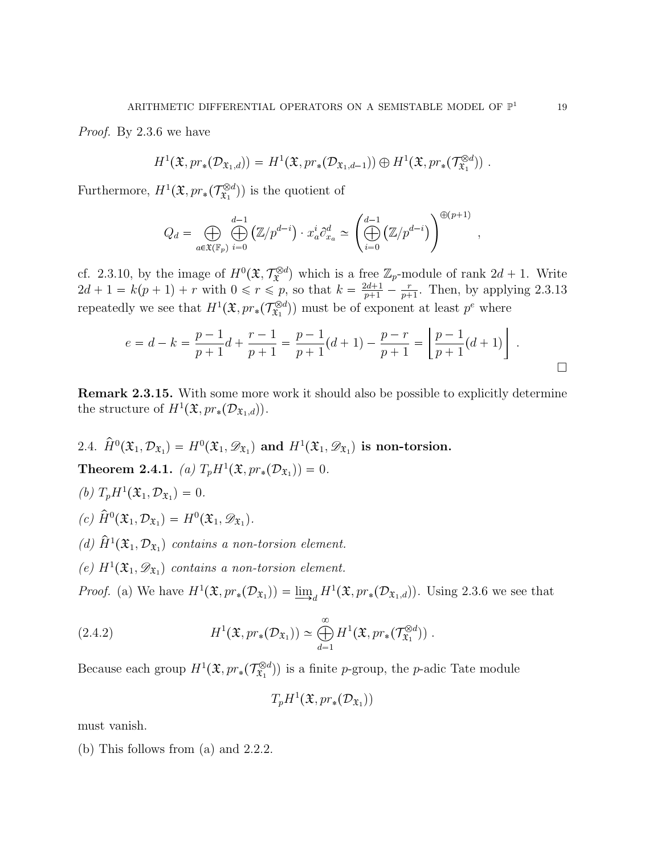Proof. By 2.3.6 we have

$$
H^1(\mathfrak{X}, pr_*(\mathcal{D}_{\mathfrak{X}_1,d})) = H^1(\mathfrak{X}, pr_*(\mathcal{D}_{\mathfrak{X}_1,d-1})) \oplus H^1(\mathfrak{X}, pr_*(\mathcal{T}_{\mathfrak{X}_1}^{\otimes d})) .
$$

Furthermore,  $H^1(\mathfrak{X}, pr_*(\mathcal{T}_{\mathfrak{X}_1}^{\otimes d})$  $(\mathbf{x}_1^{\otimes d})$  is the quotient of

$$
Q_d = \bigoplus_{a \in \mathfrak{X}(\mathbb{F}_p)} \bigoplus_{i=0}^{d-1} (\mathbb{Z}/p^{d-i}) \cdot x_a^i \partial_{x_a}^d \simeq \left( \bigoplus_{i=0}^{d-1} (\mathbb{Z}/p^{d-i}) \right)^{\oplus (p+1)},
$$

cf. 2.3.10, by the image of  $H^0(\mathfrak{X}, \mathcal{T}_{\mathfrak{X}}^{\otimes d})$  which is a free  $\mathbb{Z}_p$ -module of rank  $2d + 1$ . Write  $2d + 1 = k(p + 1) + r$  with  $0 \le r \le p$ , so that  $k = \frac{2d+1}{p+1} - \frac{r}{p+1}$  $\frac{r}{p+1}$ . Then, by applying 2.3.13 repeatedly we see that  $H^1(\mathfrak{X}, pr_*(\mathcal{T}^{\otimes d}_{\mathfrak{X}_1})$  $(\mathbb{R}^{d})$  must be of exponent at least  $p^e$  where

$$
e = d - k = \frac{p-1}{p+1}d + \frac{r-1}{p+1} = \frac{p-1}{p+1}(d+1) - \frac{p-r}{p+1} = \left\lfloor \frac{p-1}{p+1}(d+1) \right\rfloor .
$$

Remark 2.3.15. With some more work it should also be possible to explicitly determine the structure of  $H^1(\mathfrak{X}, pr_*(\mathcal{D}_{\mathfrak{X}_1,d})).$ 

\n- 2.4. 
$$
\hat{H}^0(\mathfrak{X}_1, \mathcal{D}_{\mathfrak{X}_1}) = H^0(\mathfrak{X}_1, \mathscr{D}_{\mathfrak{X}_1})
$$
 and  $H^1(\mathfrak{X}_1, \mathscr{D}_{\mathfrak{X}_1})$  is non-torsion.
\n- **Theorem 2.4.1.** (a)  $T_p H^1(\mathfrak{X}, pr_*(\mathcal{D}_{\mathfrak{X}_1})) = 0$ .
\n- (b)  $T_p H^1(\mathfrak{X}_1, \mathcal{D}_{\mathfrak{X}_1}) = 0$ .
\n- (c)  $\hat{H}^0(\mathfrak{X}_1, \mathcal{D}_{\mathfrak{X}_1}) = H^0(\mathfrak{X}_1, \mathscr{D}_{\mathfrak{X}_1})$ .
\n- (d)  $\hat{H}^1(\mathfrak{X}_1, \mathcal{D}_{\mathfrak{X}_1})$  contains a non-torsion element.
\n

(e)  $H^1(\mathfrak{X}_1, \mathscr{D}_{\mathfrak{X}_1})$  contains a non-torsion element.

*Proof.* (a) We have  $H^1(\mathfrak{X}, pr_*(\mathcal{D}_{\mathfrak{X}_1})) = \underline{\lim}_d H^1(\mathfrak{X}, pr_*(\mathcal{D}_{\mathfrak{X}_1,d}))$ . Using 2.3.6 we see that

(2.4.2) 
$$
H^{1}(\mathfrak{X}, pr_{*}(\mathcal{D}_{\mathfrak{X}_{1}})) \simeq \bigoplus_{d=1}^{\infty} H^{1}(\mathfrak{X}, pr_{*}(\mathcal{T}_{\mathfrak{X}_{1}}^{\otimes d})) .
$$

Because each group  $H^1(\mathfrak{X}, pr_*(\mathcal{T}^{\otimes d}_{\mathfrak{X}_1})$  $(\mathfrak{X}_1^{\otimes d})$  is a finite p-group, the p-adic Tate module

$$
T_p H^1(\mathfrak{X}, pr_*(\mathcal{D}_{\mathfrak{X}_1}))
$$

must vanish.

(b) This follows from (a) and 2.2.2.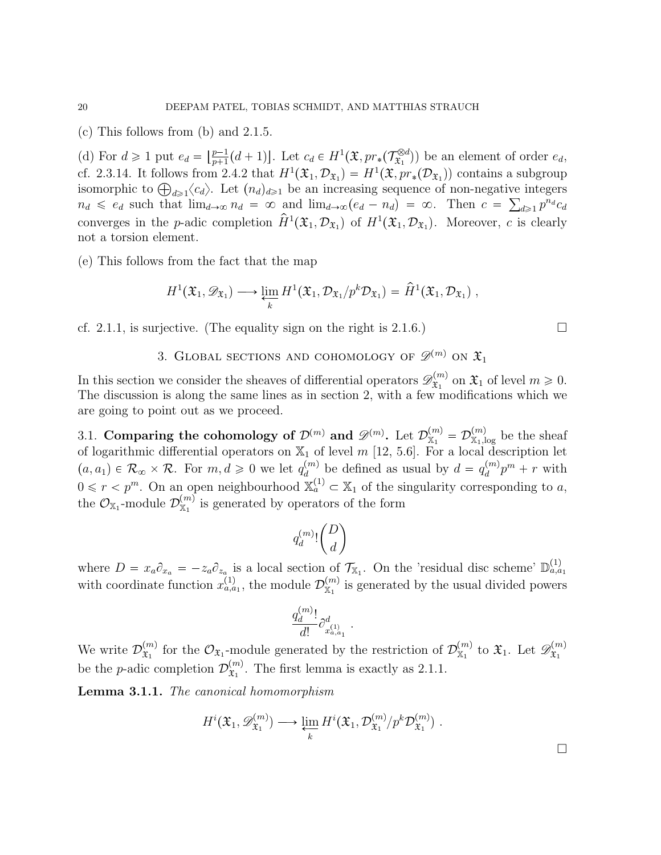(c) This follows from (b) and 2.1.5.

(d) For  $d \geq 1$  put  $e_d = \left\lfloor \frac{p-1}{p+1} \right\rfloor$  $\frac{p-1}{p+1}(d+1)$ . Let  $c_d \in H^1(\mathfrak{X}, pr_*(\mathcal{T}^{\otimes d}_{\mathfrak{X}_1}))$  $(\mathbf{x}_1^{\otimes d})$  be an element of order  $e_d$ , cf. 2.3.14. It follows from 2.4.2 that  $H^1(\mathfrak{X}_1, \mathcal{D}_{\mathfrak{X}_1}) = H^1(\mathfrak{X}, pr_*(\mathcal{D}_{\mathfrak{X}_1}))$  contains a subgroup isomorphic to  $\bigoplus_{d\geqslant 1}\langle c_d\rangle$ . Let  $(n_d)_{d\geqslant 1}$  be an increasing sequence of non-negative integers  $n_d \leq e_d$  such that  $\lim_{d\to\infty} n_d = \infty$  and  $\lim_{d\to\infty} (e_d - n_d) = \infty$ . Then  $c = \sum_{d\geqslant 1} p^{n_d} c_d$ converges in the *p*-adic completion  $\hat{H}^1(\mathfrak{X}_1, \mathcal{D}_{\mathfrak{X}_1})$  of  $H^1(\mathfrak{X}_1, \mathcal{D}_{\mathfrak{X}_1})$ . Moreover, c is clearly not a torsion element.

(e) This follows from the fact that the map

$$
H^1(\mathfrak{X}_1, \mathscr{D}_{\mathfrak{X}_1}) \longrightarrow \varprojlim_k H^1(\mathfrak{X}_1, \mathcal{D}_{\mathfrak{X}_1}/p^k \mathcal{D}_{\mathfrak{X}_1}) = \hat{H}^1(\mathfrak{X}_1, \mathcal{D}_{\mathfrak{X}_1}),
$$

cf. 2.1.1, is surjective. (The equality sign on the right is 2.1.6.)

3. GLOBAL SECTIONS AND COHOMOLOGY OF 
$$
\mathscr{D}^{(m)}
$$
 on  $\mathfrak{X}_1$ 

In this section we consider the sheaves of differential operators  $\mathscr{D}_{\mathfrak{X}_{1}}^{(m)}$  $\mathfrak{X}_1^{(m)}$  on  $\mathfrak{X}_1$  of level  $m \geqslant 0$ . The discussion is along the same lines as in section 2, with a few modifications which we are going to point out as we proceed.

3.1. Comparing the cohomology of  $\mathcal{D}^{(m)}$  and  $\mathscr{D}^{(m)}$ . Let  $\mathcal{D}^{(m)}_{\mathbb{X}_1} = \mathcal{D}^{(m)}_{\mathbb{X}_1,\text{log}}$  be the sheaf of logarithmic differential operators on  $\mathbb{X}_1$  of level m [12, 5.6]. For a local description let  $p(a, a_1) \in \mathcal{R}_{\infty} \times \mathcal{R}$ . For  $m, d \geqslant 0$  we let  $q_d^{(m)}$  $\binom{m}{d}$  be defined as usual by  $d = q_d^{(m)}$  $\binom{m}{d}p^m + r$  with  $0 \leq r < p^m$ . On an open neighbourhood  $\mathbb{X}_a^{(1)} \subset \mathbb{X}_1$  of the singularity corresponding to a, the  $\mathcal{O}_{\mathbb{X}_1}$ -module  $\mathcal{D}_{\mathbb{X}_1}^{(m)}$  is generated by operators of the form

$$
q^{(m)}_d! \binom{D}{d}
$$

where  $D = x_a \partial_{x_a} = -z_a \partial_{z_a}$  is a local section of  $\mathcal{T}_{X_1}$ . On the 'residual disc scheme'  $\mathbb{D}_{a,a_1}^{(1)}$ with coordinate function  $x_{a,a_1}^{(1)}$ , the module  $\mathcal{D}_{X_1}^{(m)}$  is generated by the usual divided powers

$$
\frac{q^{(m)}_d!}{d!}\partial^{d}_{x^{(1)}_{a,a_1}}
$$

.

We write  $\mathcal{D}_{\mathfrak{X}_1}^{(m)}$  $\mathcal{L}^{(m)}_{\mathfrak{X}_1}$  for the  $\mathcal{O}_{\mathfrak{X}_1}$ -module generated by the restriction of  $\mathcal{D}_{\mathbb{X}_1}^{(m)}$  to  $\mathfrak{X}_1$ . Let  $\mathscr{D}_{\mathfrak{X}_1}^{(m)}$  $\mathfrak{X}_1$ be the *p*-adic completion  $\mathcal{D}_{\mathfrak{T}_1}^{(m)}$  $\mathfrak{X}_1^{(m)}$ . The first lemma is exactly as 2.1.1.

Lemma 3.1.1. The canonical homomorphism

$$
H^{i}(\mathfrak{X}_{1}, \mathscr{D}_{\mathfrak{X}_{1}}^{(m)}) \longrightarrow \varprojlim_{k} H^{i}(\mathfrak{X}_{1}, \mathcal{D}_{\mathfrak{X}_{1}}^{(m)}/p^{k}\mathcal{D}_{\mathfrak{X}_{1}}^{(m)}) .
$$

 $\Box$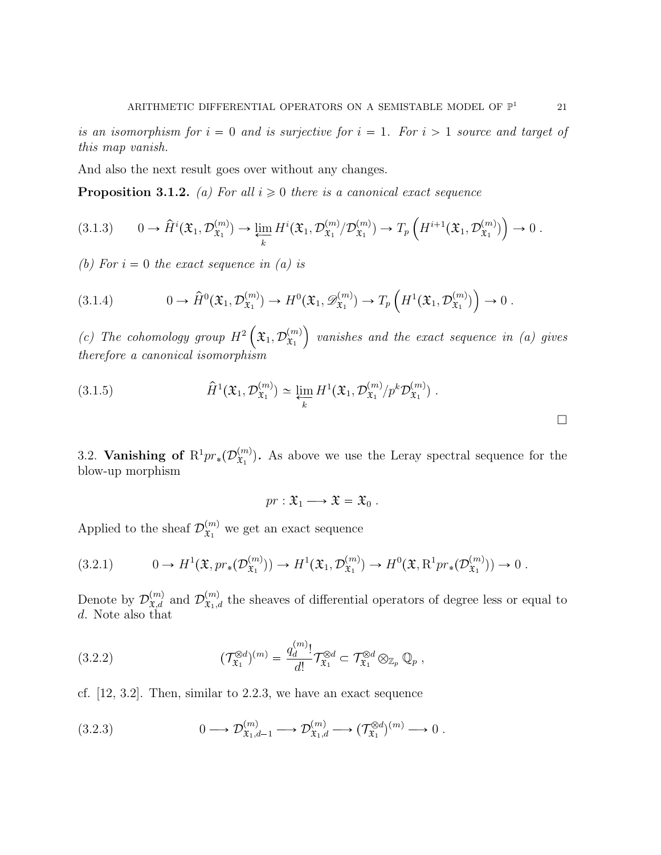is an isomorphism for  $i = 0$  and is surjective for  $i = 1$ . For  $i > 1$  source and target of this map vanish.

And also the next result goes over without any changes.

**Proposition 3.1.2.** (a) For all  $i \geq 0$  there is a canonical exact sequence

$$
(3.1.3) \qquad 0 \to \hat{H}^i(\mathfrak{X}_1, \mathcal{D}_{\mathfrak{X}_1}^{(m)}) \to \varprojlim_k H^i(\mathfrak{X}_1, \mathcal{D}_{\mathfrak{X}_1}^{(m)}/\mathcal{D}_{\mathfrak{X}_1}^{(m)}) \to T_p\left(H^{i+1}(\mathfrak{X}_1, \mathcal{D}_{\mathfrak{X}_1}^{(m)})\right) \to 0.
$$

(b) For  $i = 0$  the exact sequence in (a) is

$$
(3.1.4) \t 0 \to \hat{H}^0(\mathfrak{X}_1, \mathcal{D}_{\mathfrak{X}_1}^{(m)}) \to H^0(\mathfrak{X}_1, \mathscr{D}_{\mathfrak{X}_1}^{(m)}) \to T_p\left(H^1(\mathfrak{X}_1, \mathcal{D}_{\mathfrak{X}_1}^{(m)})\right) \to 0.
$$

(c) The cohomology group  $H^2\left(\mathfrak{X}_1,\mathcal{D}_{\mathfrak{X}_1}^{(m)}\right)$  $\mathfrak{X}_1$  $\big)$  vanishes and the exact sequence in  $(a)$  gives therefore a canonical isomorphism

(3.1.5) 
$$
\hat{H}^{1}(\mathfrak{X}_{1}, \mathcal{D}_{\mathfrak{X}_{1}}^{(m)}) \simeq \varprojlim_{k} H^{1}(\mathfrak{X}_{1}, \mathcal{D}_{\mathfrak{X}_{1}}^{(m)}/p^{k}\mathcal{D}_{\mathfrak{X}_{1}}^{(m)}) .
$$

3.2. Vanishing of  $R^1pr_*(\mathcal{D}_{\mathfrak{X}_1}^{(m)})$  $\mathbf{x}_1^{(m)}$ . As above we use the Leray spectral sequence for the blow-up morphism

$$
pr: \mathfrak{X}_1 \longrightarrow \mathfrak{X} = \mathfrak{X}_0 .
$$

Applied to the sheaf  $\mathcal{D}_{\mathfrak{T}_1}^{(m)}$  $\mathfrak{X}_1^{(m)}$  we get an exact sequence

$$
(3.2.1) \t 0 \to H^1(\mathfrak{X}, pr_*(\mathcal{D}_{\mathfrak{X}_1}^{(m)})) \to H^1(\mathfrak{X}_1, \mathcal{D}_{\mathfrak{X}_1}^{(m)}) \to H^0(\mathfrak{X}, \mathrm{R}^1 pr_*(\mathcal{D}_{\mathfrak{X}_1}^{(m)})) \to 0.
$$

Denote by  $\mathcal{D}_{\mathfrak{X},d}^{(m)}$  and  $\mathcal{D}_{\mathfrak{X}_1,d}^{(m)}$  the sheaves of differential operators of degree less or equal to d. Note also that

(3.2.2) 
$$
(\mathcal{T}_{\mathfrak{X}_1}^{\otimes d})^{(m)} = \frac{q_d^{(m)}}{d!} \mathcal{T}_{\mathfrak{X}_1}^{\otimes d} \subset \mathcal{T}_{\mathfrak{X}_1}^{\otimes d} \otimes_{\mathbb{Z}_p} \mathbb{Q}_p ,
$$

cf. [12, 3.2]. Then, similar to 2.2.3, we have an exact sequence

$$
(3.2.3) \t 0 \longrightarrow \mathcal{D}^{(m)}_{\mathfrak{X}_1,d-1} \longrightarrow \mathcal{D}^{(m)}_{\mathfrak{X}_1,d} \longrightarrow (\mathcal{T}^{\otimes d}_{\mathfrak{X}_1})^{(m)} \longrightarrow 0.
$$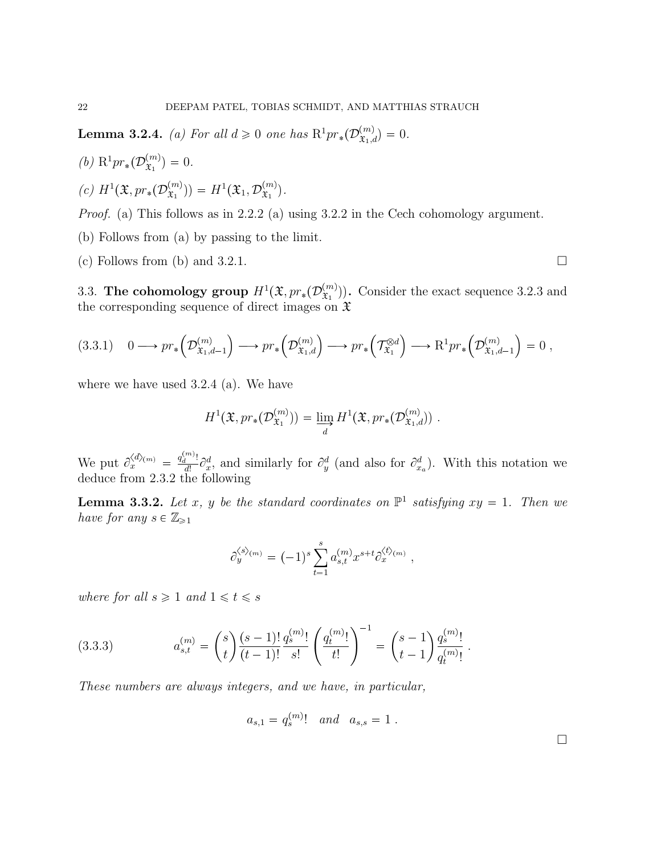**Lemma 3.2.4.** (a) For all  $d \ge 0$  one has  $R^1pr_*(\mathcal{D}_{\mathfrak{X}_1,d}^{(m)}) = 0$ .

- (*b*)  $R^1pr_*(\mathcal{D}_{\mathfrak{X}_1}^{(m)})$  $\binom{m}{x_1} = 0.$
- (c)  $H^1(\mathfrak{X}, pr_*(\mathcal{D}_{\mathfrak{X}_1}^{(m)})$  $\mathcal{L}^{(m)}_{\mathfrak{X}_1}$ )) =  $H^1(\mathfrak{X}_1, \mathcal{D}_{\mathfrak{X}_1}^{(m)})$  $\mathfrak{X}_1^{(m)}$ ).

Proof. (a) This follows as in 2.2.2 (a) using 3.2.2 in the Cech cohomology argument.

- (b) Follows from (a) by passing to the limit.
- (c) Follows from (b) and 3.2.1.  $\Box$

3.3. The cohomology group  $H^1(\mathfrak{X}, pr_*(\mathcal{D}_{\mathfrak{X}_1}^{(m)})$  $\binom{m}{\mathfrak{X}_1}$ . Consider the exact sequence 3.2.3 and the corresponding sequence of direct images on  $\mathfrak X$ 

$$
(3.3.1) \quad 0 \longrightarrow pr_*\left(\mathcal{D}^{(m)}_{\mathfrak{X}_1,d-1}\right) \longrightarrow pr_*\left(\mathcal{D}^{(m)}_{\mathfrak{X}_1,d}\right) \longrightarrow pr_*\left(\mathcal{T}^{\otimes d}_{\mathfrak{X}_1}\right) \longrightarrow R^1pr_*\left(\mathcal{D}^{(m)}_{\mathfrak{X}_1,d-1}\right) = 0,
$$

where we have used 3.2.4 (a). We have

$$
H^{1}(\mathfrak{X}, pr_{*}(\mathcal{D}_{\mathfrak{X}_{1}}^{(m)})) = \varinjlim_{d} H^{1}(\mathfrak{X}, pr_{*}(\mathcal{D}_{\mathfrak{X}_{1},d}^{(m)})) .
$$

We put  $\partial_x^{\langle d \rangle_{(m)}}$  $\frac{\langle d \rangle_{(m)}}{x} = \frac{q^{(m)}_d!}{\frac{d!}{x!}}$  $\frac{d}{dt} \partial_x^d$  and similarly for  $\partial_y^d$  (and also for  $\partial_{x_a}^d$ ). With this notation we deduce from 2.3.2 the following

**Lemma 3.3.2.** Let x, y be the standard coordinates on  $\mathbb{P}^1$  satisfying  $xy = 1$ . Then we have for any  $s \in \mathbb{Z}_{\geq 1}$ 

$$
\partial_y^{\langle s \rangle_{(m)}} = (-1)^s \sum_{t=1}^s a_{s,t}^{(m)} x^{s+t} \partial_x^{\langle t \rangle_{(m)}},
$$

where for all  $s \geq 1$  and  $1 \leq t \leq s$ 

(3.3.3) 
$$
a_{s,t}^{(m)} = {s \choose t} \frac{(s-1)!}{(t-1)!} \frac{q_s^{(m)}!}{s!} \left(\frac{q_t^{(m)}!}{t!}\right)^{-1} = {s-1 \choose t-1} \frac{q_s^{(m)}!}{q_t^{(m)}!}.
$$

These numbers are always integers, and we have, in particular,

$$
a_{s,1} = q_s^{(m)}
$$
 and  $a_{s,s} = 1$ .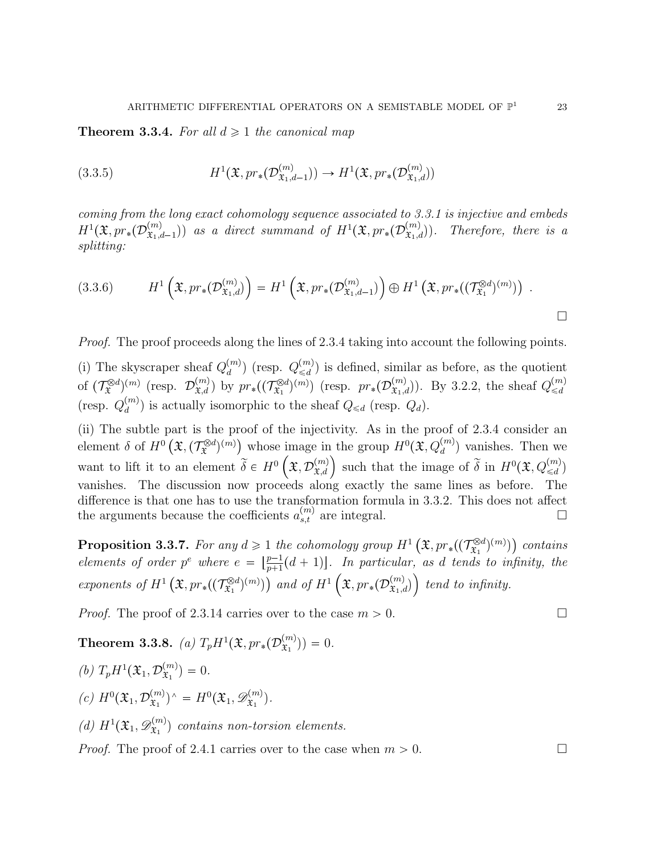**Theorem 3.3.4.** For all  $d \geq 1$  the canonical map

(3.3.5) 
$$
H^1(\mathfrak{X}, pr_*(\mathcal{D}^{(m)}_{\mathfrak{X}_1,d-1})) \to H^1(\mathfrak{X}, pr_*(\mathcal{D}^{(m)}_{\mathfrak{X}_1,d}))
$$

coming from the long exact cohomology sequence associated to 3.3.1 is injective and embeds  $H^1(\mathfrak{X},pr_*(\mathcal{D}^{(m)}_{\mathfrak{X}_1,\sigma})$  $\mathcal{X}_{\mathfrak{X}_1,d-1}^{(m)}$ ) as a direct summand of  $H^1(\mathfrak{X},pr_*(\mathcal{D}_{\mathfrak{X}_1,d}^{(m)}))$ Therefore, there is a splitting:

$$
(3.3.6) \tH1\left(\mathfrak{X}, pr_{*}(\mathcal{D}^{(m)}_{\mathfrak{X}_{1},d})\right) = H1\left(\mathfrak{X}, pr_{*}(\mathcal{D}^{(m)}_{\mathfrak{X}_{1},d-1})\right) \oplus H1\left(\mathfrak{X}, pr_{*}((\mathcal{T}^{\otimes d}_{\mathfrak{X}_{1}})^{(m)})\right).
$$

Proof. The proof proceeds along the lines of 2.3.4 taking into account the following points.

(i) The skyscraper sheaf  $Q_d^{(m)}$  $\binom{m}{d}$  (resp.  $Q_{\leq d}^{(m)}$  $\binom{m}{\leq d}$  is defined, similar as before, as the quotient of  $(\mathcal{T}_{\mathfrak{X}}^{\otimes d})^{(m)}$  (resp.  $\mathcal{D}_{\mathfrak{X},d}^{(m)}$ ) by  $pr_*(\widetilde{(\mathcal{T}_{\mathfrak{X}_1}^{\otimes d})})$  $(\mathcal{L}^{(m)}_{\mathfrak{X}_1})^{(m)}$  (resp.  $pr_*(\mathcal{D}^{(m)}_{\mathfrak{X}_1,d})$ ). By 3.2.2, the sheaf  $Q^{(m)}_{\leq d}$  $\leq d$ (resp.  $Q_d^{(m)}$  $\binom{m}{d}$  is actually isomorphic to the sheaf  $Q_{\leq d}$  (resp.  $Q_d$ ).

(ii) The subtle part is the proof of the injectivity. As in the proof of 2.3.4 consider an element  $\delta$  of  $H^0(\mathfrak{X},(\mathcal{T}_{\mathfrak{X}}^{\otimes d})^{(m)})$  whose image in the group  $H^0(\mathfrak{X}, Q_d^{(m)})$  vanishes. Then we want to lift it to an element  $\widetilde{\delta} \in H^0\left(\mathfrak{X}, \mathcal{D}_{\mathfrak{X},d}^{(m)}\right)$  such that the image of  $\widetilde{\delta}$  in  $H^0(\mathfrak{X}, Q_{\leq d}^{(m)})$ vanishes. The discussion now proceeds along exactly the same lines as before. The difference is that one has to use the transformation formula in 3.3.2. This does not affect the arguments because the coefficients  $a_{s,t}^{(m)}$  are integral.

**Proposition 3.3.7.** For any  $d \geq 1$  the cohomology group  $H^1\left(\mathfrak{X}, pr_*((\mathcal{T}^{\otimes d}_{\mathfrak{X}_1})\right))$  $(\mathbb{R}^d)^{(m)})$  contains elements of order  $p^e$  where  $e = \lfloor \frac{p-1}{p+1} \rfloor$  $\frac{p-1}{p+1}(d+1)$ . In particular, as d tends to infinity, the exponents of  $H^1(\mathfrak{X}, pr_*((\mathcal{T}^{\otimes d}_{\mathfrak{X}_1}$  $(\mathfrak{X}_1^{\otimes d})^{(m)})$  and of  $H^1\left(\mathfrak{X}, pr_*(\mathcal{D}^{(m)}_{\mathfrak{X}_1,d})\right)$  $\big)$  tend to infinity.

*Proof.* The proof of 2.3.14 carries over to the case  $m > 0$ .

Theorem 3.3.8. (a)  $T_p H^1(\mathfrak{X}, pr_*(\mathcal{D}^{(m)}_{\mathfrak{X}_1})$  $\binom{m}{x_1}$ ) = 0.

(*b*)  $T_p H^1(\mathfrak{X}_1, \mathcal{D}_{\mathfrak{X}_1}^{(m)})$  $\binom{m}{x_1} = 0.$ (c)  $H^0(\mathfrak{X}_1, \mathcal{D}_{\mathfrak{X}_1}^{(m)})$  $(x_1^{(m)})^{\wedge} = H^0(\mathfrak{X}_1, \mathscr{D}_{\mathfrak{X}_1}^{(m)})$  $(\mathfrak{x}_1^{(m)})$ . (d)  $H^1(\mathfrak{X}_1, \mathscr{D}_{\mathfrak{X}_1}^{(m)})$  $\hat{\mathbf{x}}_1^{(m)}$  contains non-torsion elements. *Proof.* The proof of 2.4.1 carries over to the case when  $m > 0$ .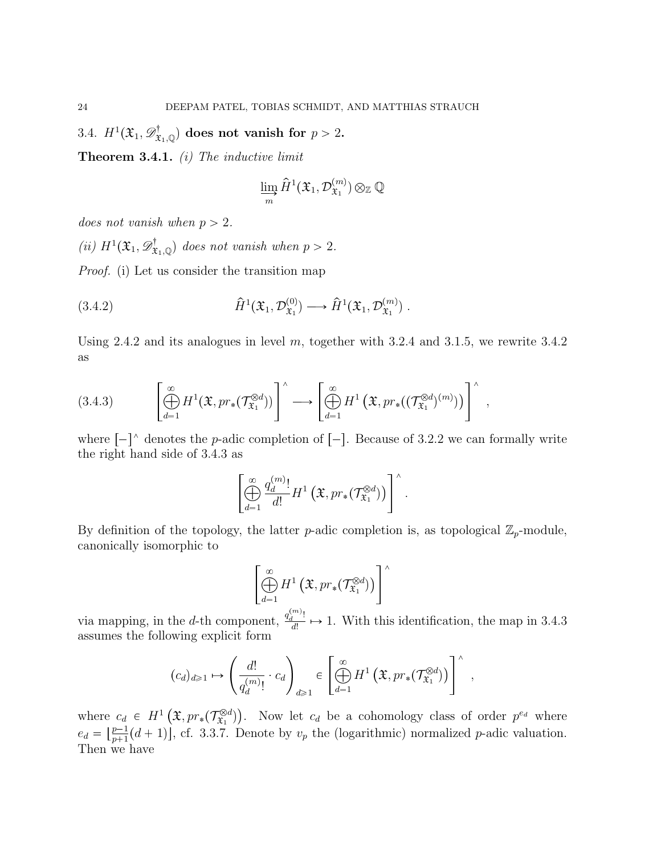3.4.  $H^1(\mathfrak{X}_1, \mathscr{D}^{\dagger}_{\mathfrak{X}_1, \mathbb{Q}})$  does not vanish for  $p > 2$ .

**Theorem 3.4.1.** (i) The inductive limit

$$
\varinjlim_{m}\widehat{H}^1({\mathfrak X}_1,{\mathcal D}_{{\mathfrak X}_1}^{(m)})\otimes_{\mathbb Z}{\mathbb Q}
$$

does not vanish when  $p > 2$ .

(ii)  $H^1(\mathfrak{X}_1, \mathcal{D}^\dagger_{\mathfrak{X}_1, \mathbb{Q}})$  does not vanish when  $p > 2$ .

Proof. (i) Let us consider the transition map

(3.4.2) 
$$
\widehat{H}^1(\mathfrak{X}_1, \mathcal{D}_{\mathfrak{X}_1}^{(0)}) \longrightarrow \widehat{H}^1(\mathfrak{X}_1, \mathcal{D}_{\mathfrak{X}_1}^{(m)}) .
$$

Using 2.4.2 and its analogues in level  $m$ , together with 3.2.4 and 3.1.5, we rewrite 3.4.2 as

$$
(3.4.3) \qquad \left[\bigoplus_{d=1}^{\infty} H^1(\mathfrak{X}, pr_*(\mathcal{T}^{\otimes d}_{\mathfrak{X}_1}))\right] \longrightarrow \left[\bigoplus_{d=1}^{\infty} H^1\left(\mathfrak{X}, pr_*((\mathcal{T}^{\otimes d}_{\mathfrak{X}_1})^{(m)})\right)\right]^\wedge,
$$

where  $\lceil - \rceil$  denotes the p-adic completion of  $\lceil - \rceil$ . Because of 3.2.2 we can formally write the right hand side of 3.4.3 as

$$
\left[\bigoplus_{d=1}^{\infty}\frac{q^{(m)}_d!}{d!}H^1\left(\mathfrak{X},pr_*(\mathcal{T}^{\otimes d}_{\mathfrak{X}_1})\right)\right]^{\wedge}.
$$

By definition of the topology, the latter *p*-adic completion is, as topological  $\mathbb{Z}_p$ -module, canonically isomorphic to

$$
\left[\bigoplus_{d=1}^{\infty} H^1\left(\mathfrak{X}, pr_*(\mathcal{T}^{\otimes d}_{\mathfrak{X}_1})\right)\right]^{\wedge}
$$

via mapping, in the d-th component,  $\frac{q_d^{(m)}}{d!}$  $\frac{d}{dt}$   $\mapsto$  1. With this identification, the map in 3.4.3 assumes the following explicit form

$$
(c_d)_{d\geq 1} \mapsto \left(\frac{d!}{q^{(m)}_d!}\cdot c_d\right)_{d\geq 1} \in \left[\bigoplus_{d=1}^{\infty} H^1\left(\mathfrak{X}, pr_*(\mathcal{T}^{\otimes d}_{\mathfrak{X}_1})\right)\right]^\wedge,
$$

where  $c_d \in H^1\left(\mathfrak{X}, pr_*(\mathcal{T}^{\otimes d}_{\mathfrak{X}_1})\right)$  $(\mathbb{R}^{d})$ . Now let  $c_d$  be a cohomology class of order  $p^{e_d}$  where  $e_d = \left[\frac{p-1}{p+1}\right]$  $\frac{p-1}{p+1}(d+1)$ , cf. 3.3.7. Denote by  $v_p$  the (logarithmic) normalized p-adic valuation. Then we have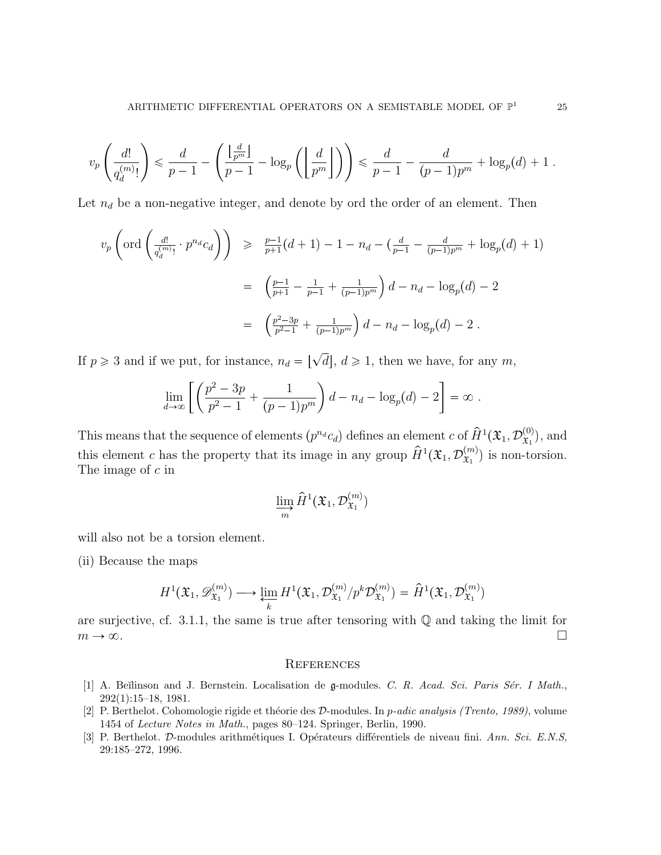$$
v_p\left(\frac{d!}{q^{(m)}_d!}\right) \leqslant \frac{d}{p-1}-\left(\frac{\left\lfloor\frac{d}{p^m}\right\rfloor}{p-1}-\log_p\left(\left\lfloor\frac{d}{p^m}\right\rfloor\right)\right) \leqslant \frac{d}{p-1}-\frac{d}{(p-1)p^m}+\log_p(d)+1\;.
$$

Let  $n_d$  be a non-negative integer, and denote by ord the order of an element. Then

$$
v_p\left(\text{ord}\left(\frac{d!}{q_d^{(m)}!} \cdot p^{n_d} c_d\right)\right) \geq \frac{p-1}{p+1}(d+1) - 1 - n_d - \left(\frac{d}{p-1} - \frac{d}{(p-1)p^m} + \log_p(d) + 1\right)
$$
  

$$
= \left(\frac{p-1}{p+1} - \frac{1}{p-1} + \frac{1}{(p-1)p^m}\right)d - n_d - \log_p(d) - 2
$$
  

$$
= \left(\frac{p^2-3p}{p^2-1} + \frac{1}{(p-1)p^m}\right)d - n_d - \log_p(d) - 2.
$$

If  $p \geq 3$  and if we put, for instance,  $n_d = \lfloor \sqrt{d} \rfloor$ ,  $d \geq 1$ , then we have, for any m,

$$
\lim_{d \to \infty} \left[ \left( \frac{p^2 - 3p}{p^2 - 1} + \frac{1}{(p-1)p^m} \right) d - n_d - \log_p(d) - 2 \right] = \infty.
$$

This means that the sequence of elements  $(p^{n_d}c_d)$  defines an element c of  $\hat{H}^1(\mathfrak{X}_1, \mathcal{D}_{\mathfrak{X}_1}^{(0)})$  $(\mathfrak{x}_1^{(0)})$ , and this element c has the property that its image in any group  $\hat{H}^1(\mathfrak{X}_1, \mathcal{D}_{\mathfrak{X}_1}^{(m)})$  $\mathfrak{X}_1^{(m)}$ ) is non-torsion. The image of c in

$$
\varinjlim_m \hat{H}^1(\mathfrak{X}_1, \mathcal{D}_{\mathfrak{X}_1}^{(m)})
$$

will also not be a torsion element.

(ii) Because the maps

$$
H^1(\mathfrak{X}_1, \mathscr{D}_{\mathfrak{X}_1}^{(m)}) \longrightarrow \varprojlim_k H^1(\mathfrak{X}_1, \mathcal{D}_{\mathfrak{X}_1}^{(m)}/p^k \mathcal{D}_{\mathfrak{X}_1}^{(m)}) = \hat{H}^1(\mathfrak{X}_1, \mathcal{D}_{\mathfrak{X}_1}^{(m)})
$$

are surjective, cf. 3.1.1, the same is true after tensoring with  $\mathbb Q$  and taking the limit for  $m \to \infty$ .

## **REFERENCES**

- [1] A. Beĭlinson and J. Bernstein. Localisation de g-modules. C. R. Acad. Sci. Paris Sér. I Math., 292(1):15–18, 1981.
- [2] P. Berthelot. Cohomologie rigide et théorie des  $D$ -modules. In p-adic analysis (Trento, 1989), volume 1454 of Lecture Notes in Math., pages 80–124. Springer, Berlin, 1990.
- [3] P. Berthelot. D-modules arithmétiques I. Opérateurs différentiels de niveau fini. Ann. Sci. E.N.S, 29:185–272, 1996.